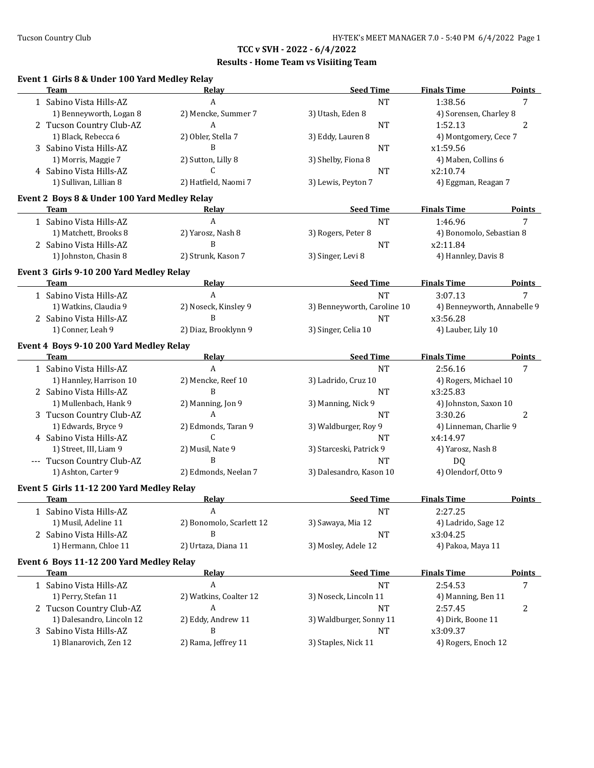### **Results - Home Team vs Visiiting Team**

### **Event 1 Girls 8 & Under 100 Yard Medley Relay**

| <b>Team</b>                                       | Relay                    | <b>Seed Time</b>                 | <b>Finals Time</b>              | <b>Points</b>  |
|---------------------------------------------------|--------------------------|----------------------------------|---------------------------------|----------------|
| 1 Sabino Vista Hills-AZ                           | A                        | <b>NT</b>                        | 1:38.56                         | $\overline{7}$ |
| 1) Benneyworth, Logan 8                           | 2) Mencke, Summer 7      | 3) Utash, Eden 8                 | 4) Sorensen, Charley 8          |                |
| 2 Tucson Country Club-AZ                          | A                        | <b>NT</b>                        | 1:52.13                         | 2              |
| 1) Black, Rebecca 6                               | 2) Obler, Stella 7       | 3) Eddy, Lauren 8                | 4) Montgomery, Cece 7           |                |
| 3 Sabino Vista Hills-AZ                           | B                        | <b>NT</b>                        | x1:59.56                        |                |
| 1) Morris, Maggie 7                               | 2) Sutton, Lilly 8       | 3) Shelby, Fiona 8               | 4) Maben, Collins 6             |                |
| 4 Sabino Vista Hills-AZ                           | $\mathsf{C}$             | <b>NT</b>                        | x2:10.74                        |                |
| 1) Sullivan, Lillian 8                            | 2) Hatfield, Naomi 7     | 3) Lewis, Peyton 7               | 4) Eggman, Reagan 7             |                |
|                                                   |                          |                                  |                                 |                |
| Event 2 Boys 8 & Under 100 Yard Medley Relay      |                          |                                  |                                 |                |
| <b>Team</b>                                       | Relay                    | <b>Seed Time</b>                 | <b>Finals Time</b>              | <b>Points</b>  |
| 1 Sabino Vista Hills-AZ                           | A                        | <b>NT</b>                        | 1:46.96                         | 7              |
| 1) Matchett, Brooks 8                             | 2) Yarosz, Nash 8        | 3) Rogers, Peter 8               | 4) Bonomolo, Sebastian 8        |                |
| 2 Sabino Vista Hills-AZ                           | B                        | <b>NT</b>                        | x2:11.84                        |                |
| 1) Johnston, Chasin 8                             | 2) Strunk, Kason 7       | 3) Singer, Levi 8                | 4) Hannley, Davis 8             |                |
| Event 3 Girls 9-10 200 Yard Medley Relay          |                          |                                  |                                 |                |
| Team                                              | Relay                    | <b>Seed Time</b>                 | <b>Finals Time</b>              | <b>Points</b>  |
| 1 Sabino Vista Hills-AZ                           | A                        | <b>NT</b>                        | 3:07.13                         | 7              |
| 1) Watkins, Claudia 9                             | 2) Noseck, Kinsley 9     | 3) Benneyworth, Caroline 10      | 4) Benneyworth, Annabelle 9     |                |
| 2 Sabino Vista Hills-AZ                           | B                        | <b>NT</b>                        | x3:56.28                        |                |
| 1) Conner, Leah 9                                 | 2) Diaz, Brooklynn 9     | 3) Singer, Celia 10              | 4) Lauber, Lily 10              |                |
|                                                   |                          |                                  |                                 |                |
| Event 4 Boys 9-10 200 Yard Medley Relay           |                          |                                  |                                 |                |
| Team                                              | <b>Relay</b>             | <b>Seed Time</b>                 | <b>Finals Time</b>              | <b>Points</b>  |
| 1 Sabino Vista Hills-AZ                           | $\mathbf{A}$             | <b>NT</b>                        | 2:56.16                         | 7              |
| 1) Hannley, Harrison 10                           | 2) Mencke, Reef 10       | 3) Ladrido, Cruz 10              | 4) Rogers, Michael 10           |                |
| 2 Sabino Vista Hills-AZ                           | B                        | <b>NT</b>                        | x3:25.83                        |                |
| 1) Mullenbach, Hank 9                             | 2) Manning, Jon 9        | 3) Manning, Nick 9               | 4) Johnston, Saxon 10           |                |
| 3 Tucson Country Club-AZ                          | A                        | <b>NT</b>                        | 3:30.26                         | 2              |
| 1) Edwards, Bryce 9                               | 2) Edmonds, Taran 9      | 3) Waldburger, Roy 9             | 4) Linneman, Charlie 9          |                |
| 4 Sabino Vista Hills-AZ                           | $\mathsf{C}$             | <b>NT</b>                        | x4:14.97                        |                |
| 1) Street, III, Liam 9                            | 2) Musil, Nate 9         | 3) Starceski, Patrick 9          | 4) Yarosz, Nash 8               |                |
| --- Tucson Country Club-AZ                        | B                        | <b>NT</b>                        | D <sub>Q</sub>                  |                |
| 1) Ashton, Carter 9                               | 2) Edmonds, Neelan 7     | 3) Dalesandro, Kason 10          | 4) Olendorf, Otto 9             |                |
|                                                   |                          |                                  |                                 |                |
| Event 5 Girls 11-12 200 Yard Medley Relay         |                          |                                  |                                 |                |
| <b>Team</b>                                       | <b>Relay</b>             | <b>Seed Time</b>                 | <b>Finals Time</b>              | Points         |
| 1 Sabino Vista Hills-AZ                           | A                        | <b>NT</b>                        | 2:27.25                         |                |
| 1) Musil, Adeline 11                              | 2) Bonomolo, Scarlett 12 | 3) Sawaya, Mia 12                | 4) Ladrido, Sage 12             |                |
| 2 Sabino Vista Hills-AZ                           | B                        | <b>NT</b>                        | x3:04.25                        |                |
| 1) Hermann, Chloe 11                              | 2) Urtaza, Diana 11      | 3) Mosley, Adele 12              | 4) Pakoa, Maya 11               |                |
| Event 6 Boys 11-12 200 Yard Medley Relay          |                          |                                  |                                 |                |
| <b>Team</b>                                       | <b>Relay</b>             | <b>Seed Time</b>                 | <b>Finals Time</b>              | <b>Points</b>  |
| 1 Sabino Vista Hills-AZ                           | A                        | <b>NT</b>                        | 2:54.53                         | 7              |
| 1) Perry, Stefan 11                               | 2) Watkins, Coalter 12   | 3) Noseck, Lincoln 11            | 4) Manning, Ben 11              |                |
| 2 Tucson Country Club-AZ                          | A                        | NT                               | 2:57.45                         | 2              |
| 1) Dalesandro, Lincoln 12                         | 2) Eddy, Andrew 11       | 3) Waldburger, Sonny 11          | 4) Dirk, Boone 11               |                |
|                                                   |                          |                                  |                                 |                |
|                                                   |                          |                                  |                                 |                |
| 3 Sabino Vista Hills-AZ<br>1) Blanarovich, Zen 12 | B<br>2) Rama, Jeffrey 11 | <b>NT</b><br>3) Staples, Nick 11 | x3:09.37<br>4) Rogers, Enoch 12 |                |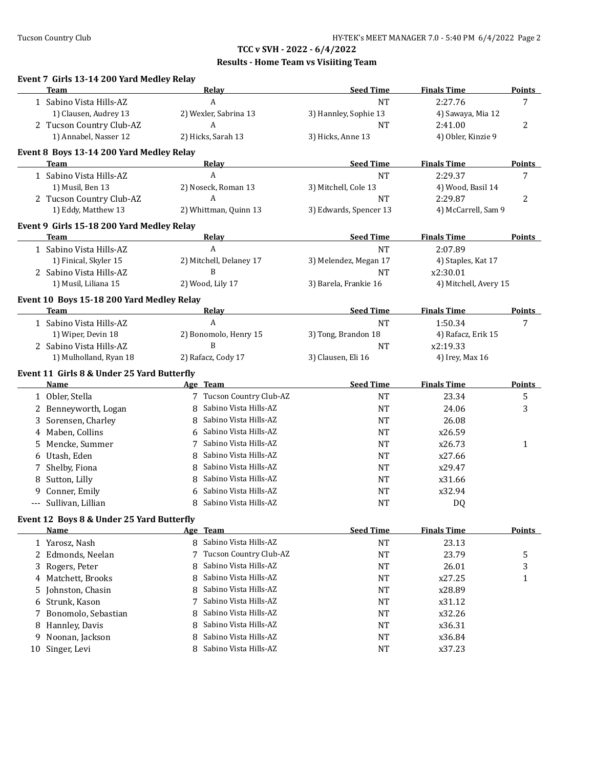|    | Event 7 Girls 13-14 200 Yard Medley Relay<br><b>Team</b> |   | Relay                    | <b>Seed Time</b>       | <b>Finals Time</b>    | <b>Points</b> |
|----|----------------------------------------------------------|---|--------------------------|------------------------|-----------------------|---------------|
|    | 1 Sabino Vista Hills-AZ                                  |   | A                        | <b>NT</b>              | 2:27.76               | 7             |
|    | 1) Clausen, Audrey 13                                    |   | 2) Wexler, Sabrina 13    | 3) Hannley, Sophie 13  | 4) Sawaya, Mia 12     |               |
|    | 2 Tucson Country Club-AZ                                 |   | A                        | <b>NT</b>              | 2:41.00               | 2             |
|    | 1) Annabel, Nasser 12                                    |   | 2) Hicks, Sarah 13       | 3) Hicks, Anne 13      | 4) Obler, Kinzie 9    |               |
|    |                                                          |   |                          |                        |                       |               |
|    | Event 8 Boys 13-14 200 Yard Medley Relay<br>Team         |   | <b>Relay</b>             | <b>Seed Time</b>       | <b>Finals Time</b>    | <b>Points</b> |
|    | 1 Sabino Vista Hills-AZ                                  |   | A                        | <b>NT</b>              | 2:29.37               | 7             |
|    | 1) Musil, Ben 13                                         |   | 2) Noseck, Roman 13      | 3) Mitchell, Cole 13   | 4) Wood, Basil 14     |               |
|    | 2 Tucson Country Club-AZ                                 |   | $\boldsymbol{A}$         | <b>NT</b>              | 2:29.87               | 2             |
|    | 1) Eddy, Matthew 13                                      |   | 2) Whittman, Quinn 13    | 3) Edwards, Spencer 13 | 4) McCarrell, Sam 9   |               |
|    | Event 9 Girls 15-18 200 Yard Medley Relay                |   |                          |                        |                       |               |
|    | <b>Team</b>                                              |   | <b>Relay</b>             | <b>Seed Time</b>       | <b>Finals Time</b>    | Points        |
|    | 1 Sabino Vista Hills-AZ                                  |   | $\boldsymbol{A}$         | <b>NT</b>              | 2:07.89               |               |
|    | 1) Finical, Skyler 15                                    |   | 2) Mitchell, Delaney 17  | 3) Melendez, Megan 17  | 4) Staples, Kat 17    |               |
|    | 2 Sabino Vista Hills-AZ                                  |   | B                        | <b>NT</b>              | x2:30.01              |               |
|    | 1) Musil, Liliana 15                                     |   | 2) Wood, Lily 17         | 3) Barela, Frankie 16  | 4) Mitchell, Avery 15 |               |
|    |                                                          |   |                          |                        |                       |               |
|    | Event 10 Boys 15-18 200 Yard Medley Relay<br>Team        |   | Relay                    | <b>Seed Time</b>       | <b>Finals Time</b>    | <b>Points</b> |
|    | 1 Sabino Vista Hills-AZ                                  |   | A                        | <b>NT</b>              | 1:50.34               | 7             |
|    | 1) Wiper, Devin 18                                       |   | 2) Bonomolo, Henry 15    | 3) Tong, Brandon 18    | 4) Rafacz, Erik 15    |               |
|    | 2 Sabino Vista Hills-AZ                                  |   | B                        | <b>NT</b>              | x2:19.33              |               |
|    | 1) Mulholland, Ryan 18                                   |   | 2) Rafacz, Cody 17       | 3) Clausen, Eli 16     | 4) Irey, Max 16       |               |
|    |                                                          |   |                          |                        |                       |               |
|    | Event 11 Girls 8 & Under 25 Yard Butterfly<br>Name       |   | Age Team                 | <b>Seed Time</b>       | <b>Finals Time</b>    | <b>Points</b> |
|    | 1 Obler, Stella                                          |   | 7 Tucson Country Club-AZ | <b>NT</b>              | 23.34                 | 5             |
| 2  | Benneyworth, Logan                                       | 8 | Sabino Vista Hills-AZ    | <b>NT</b>              | 24.06                 | 3             |
| 3  | Sorensen, Charley                                        | 8 | Sabino Vista Hills-AZ    | NT                     | 26.08                 |               |
| 4  | Maben, Collins                                           | 6 | Sabino Vista Hills-AZ    | NT                     | x26.59                |               |
| 5  | Mencke, Summer                                           | 7 | Sabino Vista Hills-AZ    | NT                     | x26.73                | 1             |
| 6  | Utash, Eden                                              | 8 | Sabino Vista Hills-AZ    | NT                     | x27.66                |               |
| 7  | Shelby, Fiona                                            | 8 | Sabino Vista Hills-AZ    | <b>NT</b>              | x29.47                |               |
| 8  | Sutton, Lilly                                            | 8 | Sabino Vista Hills-AZ    | <b>NT</b>              | x31.66                |               |
| 9  | Conner, Emily                                            | 6 | Sabino Vista Hills-AZ    | <b>NT</b>              | x32.94                |               |
|    | Sullivan, Lillian                                        |   | 8 Sabino Vista Hills-AZ  | <b>NT</b>              | DQ                    |               |
|    |                                                          |   |                          |                        |                       |               |
|    | Event 12 Boys 8 & Under 25 Yard Butterfly<br><u>Name</u> |   | Age Team                 | <b>Seed Time</b>       | <b>Finals Time</b>    | <b>Points</b> |
|    |                                                          |   | Sabino Vista Hills-AZ    | <b>NT</b>              | 23.13                 |               |
|    |                                                          |   |                          |                        |                       |               |
|    | 1 Yarosz, Nash                                           | 8 |                          |                        |                       |               |
| 2  | Edmonds, Neelan                                          | 7 | Tucson Country Club-AZ   | <b>NT</b>              | 23.79                 | 5             |
| 3  | Rogers, Peter                                            | 8 | Sabino Vista Hills-AZ    | <b>NT</b>              | 26.01                 | 3             |
|    | 4 Matchett, Brooks                                       | 8 | Sabino Vista Hills-AZ    | <b>NT</b>              | x27.25                | 1             |
| 5  | Johnston, Chasin                                         | 8 | Sabino Vista Hills-AZ    | <b>NT</b>              | x28.89                |               |
| 6  | Strunk, Kason                                            | 7 | Sabino Vista Hills-AZ    | <b>NT</b>              | x31.12                |               |
| 7  | Bonomolo, Sebastian                                      | 8 | Sabino Vista Hills-AZ    | NT                     | x32.26                |               |
| 8  | Hannley, Davis                                           | 8 | Sabino Vista Hills-AZ    | NT                     | x36.31                |               |
| 9  | Noonan, Jackson                                          | 8 | Sabino Vista Hills-AZ    | NT                     | x36.84                |               |
| 10 | Singer, Levi                                             | 8 | Sabino Vista Hills-AZ    | NT                     | x37.23                |               |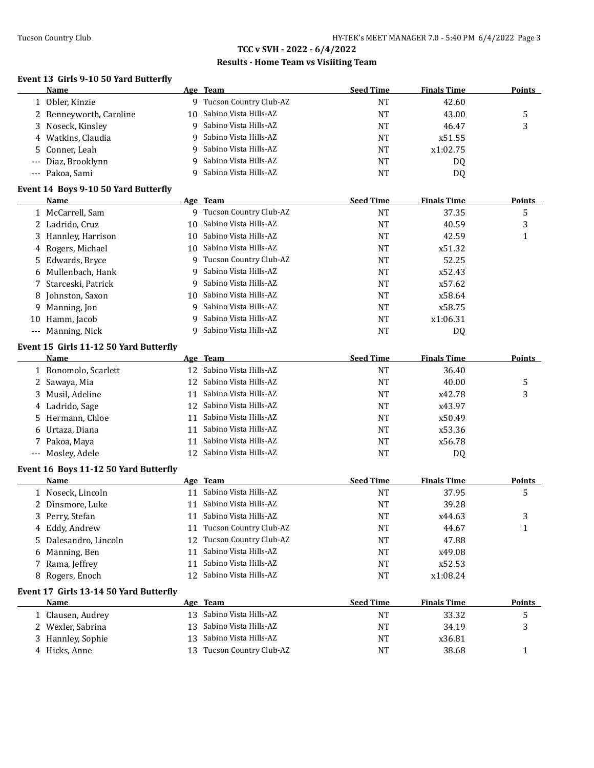### **Results - Home Team vs Visiiting Team**

#### **Event 13 Girls 9-10 50 Yard Butterfly**

|       | Name                                   |    | Age Team                  | <b>Seed Time</b> | <b>Finals Time</b> | <b>Points</b> |
|-------|----------------------------------------|----|---------------------------|------------------|--------------------|---------------|
|       | 1 Obler, Kinzie                        |    | 9 Tucson Country Club-AZ  | <b>NT</b>        | 42.60              |               |
|       | 2 Benneyworth, Caroline                | 10 | Sabino Vista Hills-AZ     | <b>NT</b>        | 43.00              | 5             |
| 3     | Noseck, Kinsley                        | 9  | Sabino Vista Hills-AZ     | <b>NT</b>        | 46.47              | 3             |
|       | 4 Watkins, Claudia                     | 9  | Sabino Vista Hills-AZ     | NT               | x51.55             |               |
| 5     | Conner, Leah                           | 9  | Sabino Vista Hills-AZ     | <b>NT</b>        | x1:02.75           |               |
|       | Diaz, Brooklynn                        | 9  | Sabino Vista Hills-AZ     | NT               | DQ                 |               |
|       | --- Pakoa, Sami                        | 9  | Sabino Vista Hills-AZ     | <b>NT</b>        | DQ                 |               |
|       |                                        |    |                           |                  |                    |               |
|       | Event 14 Boys 9-10 50 Yard Butterfly   |    |                           |                  |                    |               |
|       | Name                                   |    | Age Team                  | <b>Seed Time</b> | <b>Finals Time</b> | <b>Points</b> |
|       | 1 McCarrell, Sam                       |    | 9 Tucson Country Club-AZ  | <b>NT</b>        | 37.35              | 5             |
|       | 2 Ladrido, Cruz                        |    | 10 Sabino Vista Hills-AZ  | NT               | 40.59              | 3             |
|       | 3 Hannley, Harrison                    |    | 10 Sabino Vista Hills-AZ  | <b>NT</b>        | 42.59              | $\mathbf{1}$  |
|       | 4 Rogers, Michael                      |    | 10 Sabino Vista Hills-AZ  | <b>NT</b>        | x51.32             |               |
|       | 5 Edwards, Bryce                       |    | 9 Tucson Country Club-AZ  | NT               | 52.25              |               |
| 6     | Mullenbach, Hank                       | 9  | Sabino Vista Hills-AZ     | <b>NT</b>        | x52.43             |               |
|       | 7 Starceski, Patrick                   | 9  | Sabino Vista Hills-AZ     | NT               | x57.62             |               |
|       | 8 Johnston, Saxon                      |    | 10 Sabino Vista Hills-AZ  | <b>NT</b>        | x58.64             |               |
|       | 9 Manning, Jon                         | 9  | Sabino Vista Hills-AZ     | <b>NT</b>        | x58.75             |               |
|       | 10 Hamm, Jacob                         | 9  | Sabino Vista Hills-AZ     | <b>NT</b>        | x1:06.31           |               |
| $---$ | Manning, Nick                          | 9  | Sabino Vista Hills-AZ     | <b>NT</b>        | DQ                 |               |
|       | Event 15 Girls 11-12 50 Yard Butterfly |    |                           |                  |                    |               |
|       | Name                                   |    | Age Team                  | <b>Seed Time</b> | <b>Finals Time</b> | <b>Points</b> |
|       | 1 Bonomolo, Scarlett                   | 12 | Sabino Vista Hills-AZ     | <b>NT</b>        | 36.40              |               |
|       | 2 Sawaya, Mia                          | 12 | Sabino Vista Hills-AZ     | <b>NT</b>        | 40.00              | 5             |
|       | 3 Musil, Adeline                       | 11 | Sabino Vista Hills-AZ     | <b>NT</b>        | x42.78             | 3             |
|       | 4 Ladrido, Sage                        | 12 | Sabino Vista Hills-AZ     | NT               | x43.97             |               |
|       | 5 Hermann, Chloe                       | 11 | Sabino Vista Hills-AZ     | NT               | x50.49             |               |
|       | 6 Urtaza, Diana                        | 11 | Sabino Vista Hills-AZ     | <b>NT</b>        | x53.36             |               |
|       | 7 Pakoa, Maya                          | 11 | Sabino Vista Hills-AZ     | <b>NT</b>        | x56.78             |               |
|       | --- Mosley, Adele                      |    | 12 Sabino Vista Hills-AZ  | <b>NT</b>        | <b>DQ</b>          |               |
|       |                                        |    |                           |                  |                    |               |
|       | Event 16 Boys 11-12 50 Yard Butterfly  |    |                           |                  |                    |               |
|       | Name                                   |    | Age Team                  | <b>Seed Time</b> | <b>Finals Time</b> | <b>Points</b> |
|       | 1 Noseck, Lincoln                      |    | 11 Sabino Vista Hills-AZ  | <b>NT</b>        | 37.95              | 5             |
|       | 2 Dinsmore, Luke                       | 11 | Sabino Vista Hills-AZ     | <b>NT</b>        | 39.28              |               |
|       | 3 Perry, Stefan                        |    | 11 Sabino Vista Hills-AZ  | <b>NT</b>        | x44.63             | 3             |
|       | 4 Eddy, Andrew                         |    | 11 Tucson Country Club-AZ | NT               | 44.67              | $\mathbf{1}$  |
|       | 5 Dalesandro, Lincoln                  | 12 | Tucson Country Club-AZ    | <b>NT</b>        | 47.88              |               |
| 6     | Manning, Ben                           | 11 | Sabino Vista Hills-AZ     | NT               | x49.08             |               |
|       | 7 Rama, Jeffrey                        | 11 | Sabino Vista Hills-AZ     | NT               | x52.53             |               |
|       | 8 Rogers, Enoch                        | 12 | Sabino Vista Hills-AZ     | <b>NT</b>        | x1:08.24           |               |
|       | Event 17 Girls 13-14 50 Yard Butterfly |    |                           |                  |                    |               |
|       | <b>Name</b>                            |    | Age Team                  | <b>Seed Time</b> | <b>Finals Time</b> | <b>Points</b> |
|       | 1 Clausen, Audrey                      |    | 13 Sabino Vista Hills-AZ  | NT               | 33.32              | 5             |
|       | 2 Wexler, Sabrina                      | 13 | Sabino Vista Hills-AZ     | NT               | 34.19              | 3             |
|       | 3 Hannley, Sophie                      | 13 | Sabino Vista Hills-AZ     | NT               | x36.81             |               |
|       | 4 Hicks, Anne                          |    | 13 Tucson Country Club-AZ | NT               | 38.68              | 1             |
|       |                                        |    |                           |                  |                    |               |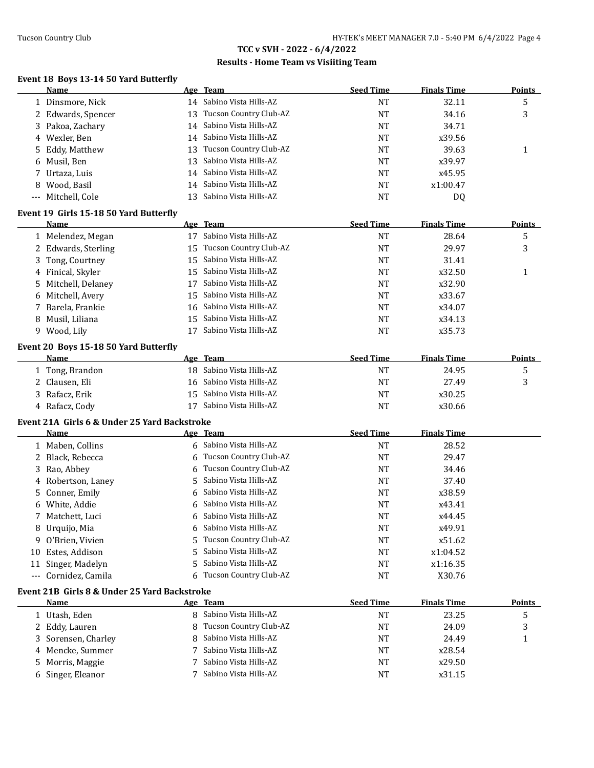### **Results - Home Team vs Visiiting Team**

#### **Event 18 Boys 13-14 50 Yard Butterfly**

| Name               |     | Age Team                  | <b>Seed Time</b> | <b>Finals Time</b> | <b>Points</b> |
|--------------------|-----|---------------------------|------------------|--------------------|---------------|
| 1 Dinsmore, Nick   |     | 14 Sabino Vista Hills-AZ  | NT               | 32.11              | ა             |
| 2 Edwards, Spencer | 13. | Tucson Country Club-AZ    | NT               | 34.16              | 3             |
| 3 Pakoa, Zachary   |     | 14 Sabino Vista Hills-AZ  | NT               | 34.71              |               |
| 4 Wexler, Ben      |     | 14 Sabino Vista Hills-AZ  | NT               | x39.56             |               |
| 5 Eddy, Matthew    |     | 13 Tucson Country Club-AZ | NT               | 39.63              |               |
| 6 Musil, Ben       |     | 13 Sabino Vista Hills-AZ  | NT               | x39.97             |               |
| 7 Urtaza, Luis     |     | 14 Sabino Vista Hills-AZ  | NT               | x45.95             |               |
| 8 Wood, Basil      |     | 14 Sabino Vista Hills-AZ  | NT               | x1:00.47           |               |
| --- Mitchell, Cole |     | 13 Sabino Vista Hills-AZ  | NT               | DQ                 |               |
|                    |     |                           |                  |                    |               |

#### **Event 19 Girls 15-18 50 Yard Butterfly**

| Name                | Age Team                    | <b>Seed Time</b> | <b>Finals Time</b> | <b>Points</b> |
|---------------------|-----------------------------|------------------|--------------------|---------------|
| 1 Melendez, Megan   | Sabino Vista Hills-AZ       | NT               | 28.64              | 5             |
| 2 Edwards, Sterling | 15 Tucson Country Club-AZ   | NT               | 29.97              | 3             |
| 3 Tong, Courtney    | 15 Sabino Vista Hills-AZ    | NT               | 31.41              |               |
| 4 Finical, Skyler   | 15 Sabino Vista Hills-AZ    | NT               | x32.50             |               |
| 5 Mitchell, Delaney | Sabino Vista Hills-AZ<br>17 | <b>NT</b>        | x32.90             |               |
| 6 Mitchell, Avery   | 15 Sabino Vista Hills-AZ    | NT               | x33.67             |               |
| 7 Barela, Frankie   | 16 Sabino Vista Hills-AZ    | NT               | x34.07             |               |
| 8 Musil, Liliana    | 15 Sabino Vista Hills-AZ    | <b>NT</b>        | x34.13             |               |
| 9 Wood, Lily        | Sabino Vista Hills-AZ       | NT               | x35.73             |               |

#### **Event 20 Boys 15-18 50 Yard Butterfly**

| <b>Name</b>    | Age Team                 | <b>Seed Time</b> | <b>Finals Time</b> | <b>Points</b> |
|----------------|--------------------------|------------------|--------------------|---------------|
| Tong, Brandon  | 18 Sabino Vista Hills-AZ | NT               | 24.95              |               |
| 2 Clausen, Eli | 16 Sabino Vista Hills-AZ | NT               | 27.49              |               |
| 3 Rafacz, Erik | 15 Sabino Vista Hills-AZ | NT               | x30.25             |               |
| Rafacz, Cody   | Sabino Vista Hills-AZ    | NT               | x30.66             |               |

### **Event 21A Girls 6 & Under 25 Yard Backstroke**

| Name                 | Age Team                 | <b>Seed Time</b> | <b>Finals Time</b> |  |
|----------------------|--------------------------|------------------|--------------------|--|
| 1 Maben, Collins     | 6 Sabino Vista Hills-AZ  | <b>NT</b>        | 28.52              |  |
| 2 Black, Rebecca     | 6 Tucson Country Club-AZ | NT               | 29.47              |  |
| 3 Rao, Abbey         | 6 Tucson Country Club-AZ | <b>NT</b>        | 34.46              |  |
| 4 Robertson, Laney   | 5 Sabino Vista Hills-AZ  | <b>NT</b>        | 37.40              |  |
| 5 Conner, Emily      | 6 Sabino Vista Hills-AZ  | <b>NT</b>        | x38.59             |  |
| 6 White, Addie       | 6 Sabino Vista Hills-AZ  | <b>NT</b>        | x43.41             |  |
| 7 Matchett, Luci     | 6 Sabino Vista Hills-AZ  | <b>NT</b>        | x44.45             |  |
| 8 Urquijo, Mia       | 6 Sabino Vista Hills-AZ  | <b>NT</b>        | x49.91             |  |
| 9 O'Brien, Vivien    | 5 Tucson Country Club-AZ | <b>NT</b>        | x51.62             |  |
| 10 Estes, Addison    | 5 Sabino Vista Hills-AZ  | <b>NT</b>        | x1:04.52           |  |
| 11 Singer, Madelyn   | 5 Sabino Vista Hills-AZ  | <b>NT</b>        | x1:16.35           |  |
| --- Cornidez, Camila | 6 Tucson Country Club-AZ | NT               | X30.76             |  |

#### **Event 21B Girls 8 & Under 25 Yard Backstroke**

| Name                | Age Team                 | <b>Seed Time</b> | <b>Finals Time</b> | <b>Points</b> |
|---------------------|--------------------------|------------------|--------------------|---------------|
| 1 Utash, Eden       | 8 Sabino Vista Hills-AZ  | NT               | 23.25              | ر             |
| 2 Eddy, Lauren      | 8 Tucson Country Club-AZ | NT               | 24.09              |               |
| 3 Sorensen, Charley | 8 Sabino Vista Hills-AZ  | NT               | 24.49              |               |
| 4 Mencke, Summer    | 7 Sabino Vista Hills-AZ  | NT               | x28.54             |               |
| 5 Morris, Maggie    | Sabino Vista Hills-AZ    | <b>NT</b>        | x29.50             |               |
| 6 Singer, Eleanor   | 7 Sabino Vista Hills-AZ  | <b>NT</b>        | x31.15             |               |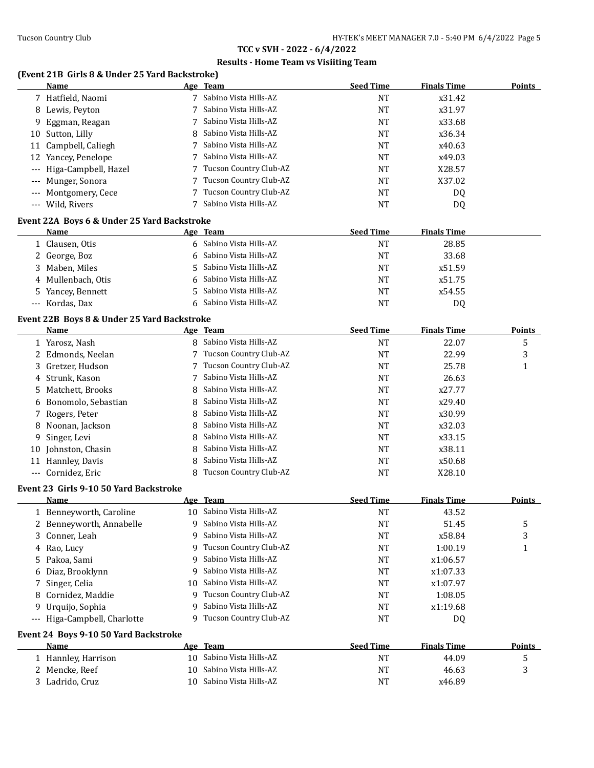### **Results - Home Team vs Visiiting Team**

# **(Event 21B Girls 8 & Under 25 Yard Backstroke)**

|       | Name                                        |    | Age Team                 | <b>Seed Time</b> | <b>Finals Time</b> | <b>Points</b> |
|-------|---------------------------------------------|----|--------------------------|------------------|--------------------|---------------|
|       | 7 Hatfield, Naomi                           |    | 7 Sabino Vista Hills-AZ  | <b>NT</b>        | x31.42             |               |
| 8     | Lewis, Peyton                               | 7  | Sabino Vista Hills-AZ    | <b>NT</b>        | x31.97             |               |
| 9     | Eggman, Reagan                              | 7  | Sabino Vista Hills-AZ    | <b>NT</b>        | x33.68             |               |
| 10    | Sutton, Lilly                               | 8  | Sabino Vista Hills-AZ    | <b>NT</b>        | x36.34             |               |
|       | 11 Campbell, Caliegh                        | 7  | Sabino Vista Hills-AZ    | NT               | x40.63             |               |
| 12    | Yancey, Penelope                            | 7  | Sabino Vista Hills-AZ    | NT               | x49.03             |               |
| $---$ | Higa-Campbell, Hazel                        | 7  | Tucson Country Club-AZ   | NT               | X28.57             |               |
| $---$ | Munger, Sonora                              | 7  | Tucson Country Club-AZ   | NT               | X37.02             |               |
|       | Montgomery, Cece                            |    | Tucson Country Club-AZ   | <b>NT</b>        | DQ                 |               |
|       | --- Wild, Rivers                            |    | Sabino Vista Hills-AZ    | <b>NT</b>        | DQ                 |               |
|       |                                             |    |                          |                  |                    |               |
|       | Event 22A Boys 6 & Under 25 Yard Backstroke |    |                          |                  |                    |               |
|       | Name                                        |    | Age Team                 | <b>Seed Time</b> | <b>Finals Time</b> |               |
|       | 1 Clausen, Otis                             |    | 6 Sabino Vista Hills-AZ  | <b>NT</b>        | 28.85              |               |
|       | 2 George, Boz                               | 6  | Sabino Vista Hills-AZ    | <b>NT</b>        | 33.68              |               |
| 3     | Maben, Miles                                | 5. | Sabino Vista Hills-AZ    | <b>NT</b>        | x51.59             |               |
| 4     | Mullenbach, Otis                            | 6  | Sabino Vista Hills-AZ    | NT               | x51.75             |               |
| 5.    | Yancey, Bennett                             | 5. | Sabino Vista Hills-AZ    | NT               | x54.55             |               |
|       | --- Kordas, Dax                             | 6  | Sabino Vista Hills-AZ    | <b>NT</b>        | DQ                 |               |
|       | Event 22B Boys 8 & Under 25 Yard Backstroke |    |                          |                  |                    |               |
|       | <b>Name</b>                                 |    | Age Team                 | <b>Seed Time</b> | <b>Finals Time</b> | <b>Points</b> |
|       | 1 Yarosz, Nash                              |    | 8 Sabino Vista Hills-AZ  | <b>NT</b>        | 22.07              | 5             |
| 2     | Edmonds, Neelan                             | 7  | Tucson Country Club-AZ   | <b>NT</b>        | 22.99              | 3             |
| 3     | Gretzer, Hudson                             | 7  | Tucson Country Club-AZ   | <b>NT</b>        | 25.78              | $\mathbf{1}$  |
| 4     | Strunk, Kason                               | 7  | Sabino Vista Hills-AZ    | <b>NT</b>        | 26.63              |               |
| 5     | Matchett, Brooks                            | 8  | Sabino Vista Hills-AZ    | NT               | x27.77             |               |
| 6     | Bonomolo, Sebastian                         | 8  | Sabino Vista Hills-AZ    | <b>NT</b>        | x29.40             |               |
| 7     | Rogers, Peter                               | 8  | Sabino Vista Hills-AZ    | <b>NT</b>        | x30.99             |               |
| 8     | Noonan, Jackson                             | 8  | Sabino Vista Hills-AZ    | <b>NT</b>        | x32.03             |               |
| 9     | Singer, Levi                                | 8  | Sabino Vista Hills-AZ    | <b>NT</b>        | x33.15             |               |
|       | 10 Johnston, Chasin                         | 8  | Sabino Vista Hills-AZ    | <b>NT</b>        | x38.11             |               |
|       | 11 Hannley, Davis                           | 8  | Sabino Vista Hills-AZ    | <b>NT</b>        | x50.68             |               |
|       | --- Cornidez, Eric                          | 8  | Tucson Country Club-AZ   | <b>NT</b>        | X28.10             |               |
|       |                                             |    |                          |                  |                    |               |
|       | Event 23 Girls 9-10 50 Yard Backstroke      |    |                          |                  |                    |               |
|       | Name                                        |    | Age Team                 | <b>Seed Time</b> | <b>Finals Time</b> | Points        |
|       | 1 Benneyworth, Caroline                     |    | 10 Sabino Vista Hills-AZ | <b>NT</b>        | 43.52              |               |
|       | 2 Benneyworth, Annabelle                    | 9  | Sabino Vista Hills-AZ    | NT               | 51.45              | 5             |
| 3     | Conner, Leah                                | q  | Sabino Vista Hills-AZ    | <b>NT</b>        | x58.84             | 3             |
|       | 4 Rao, Lucy                                 | 9  | Tucson Country Club-AZ   | <b>NT</b>        | 1:00.19            | $\mathbf{1}$  |
| 5     | Pakoa, Sami                                 | 9  | Sabino Vista Hills-AZ    | <b>NT</b>        | x1:06.57           |               |
| 6     | Diaz, Brooklynn                             | 9  | Sabino Vista Hills-AZ    | <b>NT</b>        | x1:07.33           |               |
| 7     | Singer, Celia                               | 10 | Sabino Vista Hills-AZ    | NT               | x1:07.97           |               |
| 8     | Cornidez, Maddie                            | 9  | Tucson Country Club-AZ   | <b>NT</b>        | 1:08.05            |               |
| 9     | Urquijo, Sophia                             | 9  | Sabino Vista Hills-AZ    | <b>NT</b>        | x1:19.68           |               |
|       | --- Higa-Campbell, Charlotte                | 9  | Tucson Country Club-AZ   | NT               | DQ                 |               |
|       | Event 24 Boys 9-10 50 Yard Backstroke       |    |                          |                  |                    |               |
|       | <b>Name</b>                                 |    | Age Team                 | <b>Seed Time</b> | <b>Finals Time</b> | <b>Points</b> |
|       | 1 Hannley, Harrison                         |    | 10 Sabino Vista Hills-AZ | <b>NT</b>        | 44.09              | 5             |
|       | 2 Mencke, Reef                              | 10 | Sabino Vista Hills-AZ    | <b>NT</b>        | 46.63              | 3             |
|       |                                             |    | 10 Sabino Vista Hills-AZ |                  |                    |               |
|       | 3 Ladrido, Cruz                             |    |                          | <b>NT</b>        | x46.89             |               |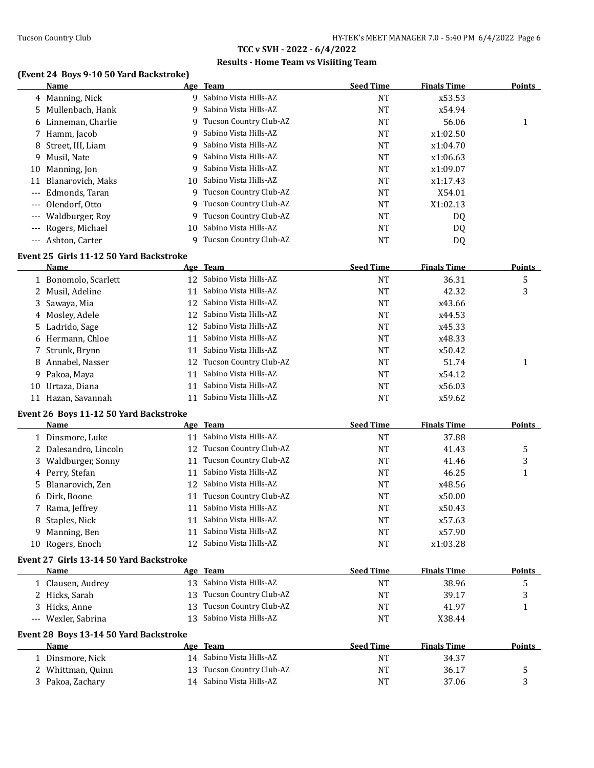### **Results - Home Team vs Visiiting Team**

## **(Event 24 Boys 9-10 50 Yard Backstroke)**

|          | (Event 24 Boys 9-10 50 Yard Backstroke)<br>Name |    | Age Team                  | <b>Seed Time</b> | <b>Finals Time</b> | <b>Points</b> |
|----------|-------------------------------------------------|----|---------------------------|------------------|--------------------|---------------|
|          | 4 Manning, Nick                                 |    | 9 Sabino Vista Hills-AZ   | <b>NT</b>        | x53.53             |               |
|          | 5 Mullenbach, Hank                              | 9  | Sabino Vista Hills-AZ     | <b>NT</b>        | x54.94             |               |
|          | 6 Linneman, Charlie                             |    | 9 Tucson Country Club-AZ  | <b>NT</b>        | 56.06              | 1             |
|          | 7 Hamm, Jacob                                   | 9  | Sabino Vista Hills-AZ     | NT               | x1:02.50           |               |
| 8        | Street, III, Liam                               | 9  | Sabino Vista Hills-AZ     | <b>NT</b>        | x1:04.70           |               |
| 9        | Musil, Nate                                     | 9  | Sabino Vista Hills-AZ     | <b>NT</b>        | x1:06.63           |               |
| 10       | Manning, Jon                                    | 9  | Sabino Vista Hills-AZ     | <b>NT</b>        | x1:09.07           |               |
|          | 11 Blanarovich, Maks                            |    | 10 Sabino Vista Hills-AZ  | NT               | x1:17.43           |               |
|          | Edmonds, Taran                                  |    | 9 Tucson Country Club-AZ  | <b>NT</b>        | X54.01             |               |
|          | Olendorf, Otto                                  |    | 9 Tucson Country Club-AZ  | <b>NT</b>        | X1:02.13           |               |
|          | Waldburger, Roy                                 |    | 9 Tucson Country Club-AZ  | NT               | DQ                 |               |
|          | Rogers, Michael                                 | 10 | Sabino Vista Hills-AZ     | NT               | DQ                 |               |
| $\cdots$ | Ashton, Carter                                  |    | 9 Tucson Country Club-AZ  | NT               | DQ                 |               |
|          | Event 25 Girls 11-12 50 Yard Backstroke         |    |                           |                  |                    |               |
|          | Name                                            |    | Age Team                  | <b>Seed Time</b> | <b>Finals Time</b> | <b>Points</b> |
|          | 1 Bonomolo, Scarlett                            |    | 12 Sabino Vista Hills-AZ  | <b>NT</b>        | 36.31              | 5             |
|          | 2 Musil, Adeline                                | 11 | Sabino Vista Hills-AZ     | <b>NT</b>        | 42.32              | 3             |
| 3.       | Sawaya, Mia                                     |    | 12 Sabino Vista Hills-AZ  | <b>NT</b>        | x43.66             |               |
|          | 4 Mosley, Adele                                 |    | 12 Sabino Vista Hills-AZ  | <b>NT</b>        | x44.53             |               |
|          | 5 Ladrido, Sage                                 |    | 12 Sabino Vista Hills-AZ  | NT               | x45.33             |               |
|          | 6 Hermann, Chloe                                | 11 | Sabino Vista Hills-AZ     | NT               | x48.33             |               |
|          | 7 Strunk, Brynn                                 | 11 | Sabino Vista Hills-AZ     | NT               | x50.42             |               |
|          | 8 Annabel, Nasser                               |    | 12 Tucson Country Club-AZ | NT               | 51.74              | 1             |
|          | 9 Pakoa, Maya                                   | 11 | Sabino Vista Hills-AZ     | NT               | x54.12             |               |
| 10       | Urtaza, Diana                                   | 11 | Sabino Vista Hills-AZ     | <b>NT</b>        | x56.03             |               |
|          | 11 Hazan, Savannah                              | 11 | Sabino Vista Hills-AZ     | <b>NT</b>        | x59.62             |               |
|          |                                                 |    |                           |                  |                    |               |
|          | Event 26 Boys 11-12 50 Yard Backstroke          |    |                           |                  |                    |               |
|          | Name                                            |    | Age Team                  | <b>Seed Time</b> | <b>Finals Time</b> | <b>Points</b> |
|          | 1 Dinsmore, Luke                                |    | 11 Sabino Vista Hills-AZ  | <b>NT</b>        | 37.88              |               |
|          | 2 Dalesandro, Lincoln                           |    | 12 Tucson Country Club-AZ | <b>NT</b>        | 41.43              | 5             |
|          | 3 Waldburger, Sonny                             |    | 11 Tucson Country Club-AZ | NT               | 41.46              | 3             |
|          | 4 Perry, Stefan                                 | 11 | Sabino Vista Hills-AZ     | NT               | 46.25              | 1             |
|          | 5 Blanarovich, Zen                              |    | 12 Sabino Vista Hills-AZ  | NT               | x48.56             |               |
|          | 6 Dirk, Boone                                   |    | 11 Tucson Country Club-AZ | <b>NT</b>        | x50.00             |               |
|          | 7 Rama, Jeffrey                                 |    | 11 Sabino Vista Hills-AZ  | $\rm{NT}$        | x50.43             |               |
|          | 8 Staples, Nick                                 |    | 11 Sabino Vista Hills-AZ  | NT               | x57.63             |               |
|          | 9 Manning, Ben                                  | 11 | Sabino Vista Hills-AZ     | NT               | x57.90             |               |
|          | 10 Rogers, Enoch                                |    | 12 Sabino Vista Hills-AZ  | NT               | x1:03.28           |               |
|          | Event 27 Girls 13-14 50 Yard Backstroke         |    |                           |                  |                    |               |
|          | Name                                            |    | Age Team                  | <b>Seed Time</b> | <b>Finals Time</b> | <b>Points</b> |
|          | 1 Clausen, Audrey                               |    | 13 Sabino Vista Hills-AZ  | <b>NT</b>        | 38.96              | 5             |
|          | 2 Hicks, Sarah                                  |    | 13 Tucson Country Club-AZ | <b>NT</b>        | 39.17              | 3             |
|          | 3 Hicks, Anne                                   | 13 | Tucson Country Club-AZ    | NT               | 41.97              | 1             |
|          | --- Wexler, Sabrina                             |    | 13 Sabino Vista Hills-AZ  | NT               | X38.44             |               |
|          | Event 28 Boys 13-14 50 Yard Backstroke          |    |                           |                  |                    |               |
|          | Name                                            |    | Age Team                  | <b>Seed Time</b> | <b>Finals Time</b> | <b>Points</b> |
|          | 1 Dinsmore, Nick                                |    | 14 Sabino Vista Hills-AZ  | <b>NT</b>        | 34.37              |               |
|          | 2 Whittman, Quinn                               |    | 13 Tucson Country Club-AZ | NT               | 36.17              | 5             |
|          | 3 Pakoa, Zachary                                |    | 14 Sabino Vista Hills-AZ  | NT               | 37.06              | 3             |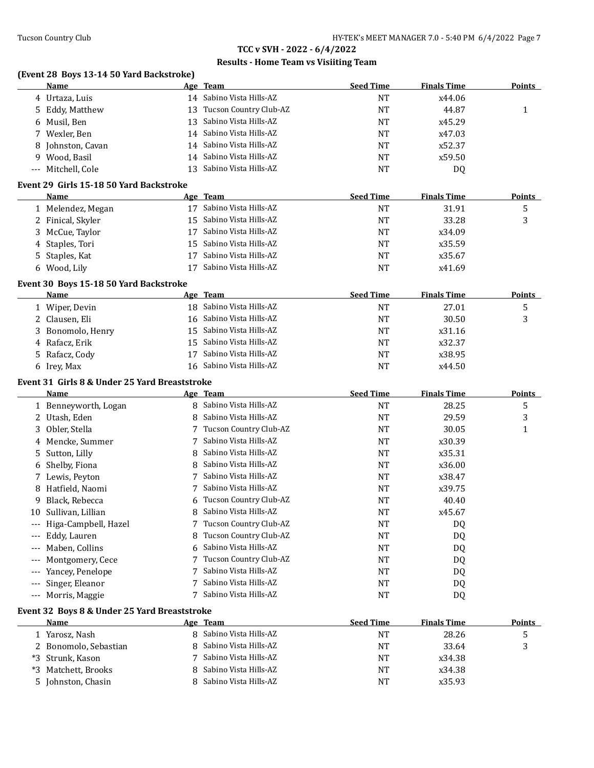## **Results - Home Team vs Visiiting Team**

### **(Event 28 Boys 13-14 50 Yard Backstroke)**

|                     | Name                                          |    | Age Team                  | <b>Seed Time</b> | <b>Finals Time</b> | <b>Points</b> |
|---------------------|-----------------------------------------------|----|---------------------------|------------------|--------------------|---------------|
|                     | 4 Urtaza, Luis                                |    | 14 Sabino Vista Hills-AZ  | <b>NT</b>        | x44.06             |               |
| 5                   | Eddy, Matthew                                 |    | 13 Tucson Country Club-AZ | <b>NT</b>        | 44.87              | 1             |
| 6                   | Musil, Ben                                    | 13 | Sabino Vista Hills-AZ     | <b>NT</b>        | x45.29             |               |
| 7                   | Wexler, Ben                                   |    | 14 Sabino Vista Hills-AZ  | NT               | x47.03             |               |
| 8                   | Johnston, Cavan                               | 14 | Sabino Vista Hills-AZ     | <b>NT</b>        | x52.37             |               |
| 9                   | Wood, Basil                                   | 14 | Sabino Vista Hills-AZ     | NT               | x59.50             |               |
|                     | --- Mitchell, Cole                            | 13 | Sabino Vista Hills-AZ     | NT               | DQ                 |               |
|                     | Event 29 Girls 15-18 50 Yard Backstroke       |    |                           |                  |                    |               |
|                     | Name                                          |    | Age Team                  | <b>Seed Time</b> | <b>Finals Time</b> | <b>Points</b> |
|                     | 1 Melendez, Megan                             |    | 17 Sabino Vista Hills-AZ  | <b>NT</b>        | 31.91              | 5             |
|                     | 2 Finical, Skyler                             |    | 15 Sabino Vista Hills-AZ  | <b>NT</b>        | 33.28              | 3             |
| 3                   | McCue, Taylor                                 |    | 17 Sabino Vista Hills-AZ  | NT               | x34.09             |               |
| 4                   | Staples, Tori                                 |    | 15 Sabino Vista Hills-AZ  | <b>NT</b>        | x35.59             |               |
|                     | 5 Staples, Kat                                |    | 17 Sabino Vista Hills-AZ  | <b>NT</b>        | x35.67             |               |
|                     | 6 Wood, Lily                                  |    | 17 Sabino Vista Hills-AZ  | <b>NT</b>        | x41.69             |               |
|                     | Event 30 Boys 15-18 50 Yard Backstroke        |    |                           |                  |                    |               |
|                     | Name                                          |    | Age Team                  | <b>Seed Time</b> | <b>Finals Time</b> | <b>Points</b> |
|                     | 1 Wiper, Devin                                |    | 18 Sabino Vista Hills-AZ  | <b>NT</b>        | 27.01              | 5             |
|                     | 2 Clausen, Eli                                |    | 16 Sabino Vista Hills-AZ  | <b>NT</b>        | 30.50              | 3             |
| 3.                  | Bonomolo, Henry                               |    | 15 Sabino Vista Hills-AZ  | <b>NT</b>        | x31.16             |               |
|                     | 4 Rafacz, Erik                                |    | 15 Sabino Vista Hills-AZ  | <b>NT</b>        | x32.37             |               |
| 5.                  | Rafacz, Cody                                  | 17 | Sabino Vista Hills-AZ     | <b>NT</b>        | x38.95             |               |
|                     | 6 Irey, Max                                   |    | 16 Sabino Vista Hills-AZ  | <b>NT</b>        | x44.50             |               |
|                     | Event 31 Girls 8 & Under 25 Yard Breaststroke |    |                           |                  |                    |               |
|                     | Name                                          |    | Age Team                  | <b>Seed Time</b> | <b>Finals Time</b> | <b>Points</b> |
|                     | 1 Benneyworth, Logan                          |    | 8 Sabino Vista Hills-AZ   | <b>NT</b>        | 28.25              | 5             |
|                     | 2 Utash, Eden                                 | 8  | Sabino Vista Hills-AZ     | <b>NT</b>        | 29.59              | 3             |
| 3                   | Obler, Stella                                 |    | 7 Tucson Country Club-AZ  | NT               | 30.05              | 1             |
| 4                   | Mencke, Summer                                | 7  | Sabino Vista Hills-AZ     | NT               | x30.39             |               |
| 5.                  | Sutton, Lilly                                 | 8  | Sabino Vista Hills-AZ     | <b>NT</b>        | x35.31             |               |
| 6                   | Shelby, Fiona                                 | 8  | Sabino Vista Hills-AZ     | NT               | x36.00             |               |
|                     | 7 Lewis, Peyton                               | 7  | Sabino Vista Hills-AZ     | <b>NT</b>        | x38.47             |               |
| 8                   | Hatfield, Naomi                               | 7  | Sabino Vista Hills-AZ     | NT               | x39.75             |               |
| 9                   | Black, Rebecca                                |    | 6 Tucson Country Club-AZ  | NT               | 40.40              |               |
|                     | 10 Sullivan, Lillian                          |    | 8 Sabino Vista Hills-AZ   | <b>NT</b>        | x45.67             |               |
| $\qquad \qquad - -$ | Higa-Campbell, Hazel                          | 7  | Tucson Country Club-AZ    | NT               | DQ                 |               |
|                     | Eddy, Lauren                                  | 8  | Tucson Country Club-AZ    | NT               | DQ                 |               |
| $---$               | Maben, Collins                                | 6  | Sabino Vista Hills-AZ     | <b>NT</b>        | DQ                 |               |
|                     | Montgomery, Cece                              |    | Tucson Country Club-AZ    | NT               | DQ                 |               |
|                     | Yancey, Penelope                              | 7  | Sabino Vista Hills-AZ     | <b>NT</b>        |                    |               |
|                     | Singer, Eleanor                               |    | Sabino Vista Hills-AZ     |                  | DQ                 |               |
|                     |                                               |    |                           | NT               | DQ                 |               |
| $---$               | Morris, Maggie                                | 7  | Sabino Vista Hills-AZ     | NT               | DQ                 |               |
|                     | Event 32 Boys 8 & Under 25 Yard Breaststroke  |    |                           |                  |                    |               |
|                     | <b>Name</b>                                   |    | Age Team                  | <b>Seed Time</b> | <b>Finals Time</b> | <b>Points</b> |
|                     | 1 Yarosz, Nash                                |    | 8 Sabino Vista Hills-AZ   | <b>NT</b>        | 28.26              | 5             |
|                     | 2 Bonomolo, Sebastian                         | 8  | Sabino Vista Hills-AZ     | NT               | 33.64              | 3             |
|                     | *3 Strunk, Kason                              | 7  | Sabino Vista Hills-AZ     | NT               | x34.38             |               |
|                     | *3 Matchett, Brooks                           |    | 8 Sabino Vista Hills-AZ   | <b>NT</b>        | x34.38             |               |

5 Johnston, Chasin 8 Sabino Vista Hills-AZ NT X35.93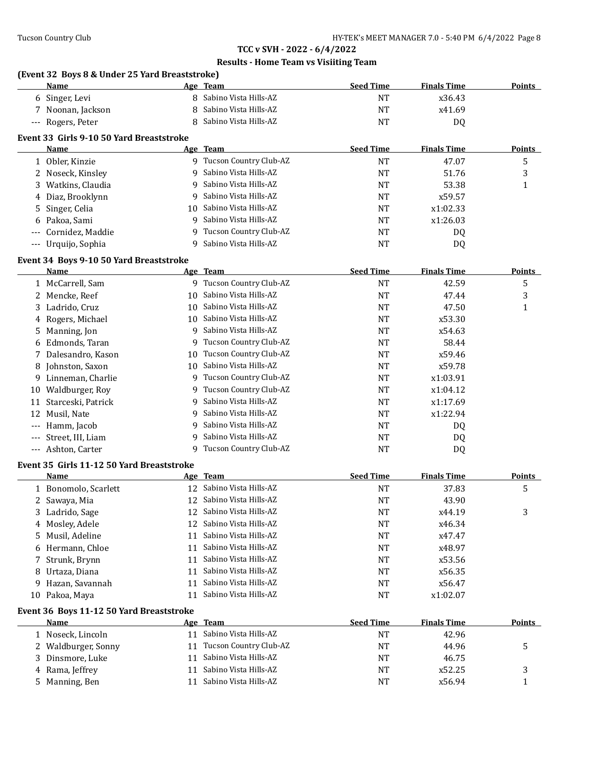|                     | (Event 32 Boys 8 & Under 25 Yard Breaststroke)<br>Name |    | Age Team                 | <b>Seed Time</b> | <b>Finals Time</b> | <b>Points</b> |
|---------------------|--------------------------------------------------------|----|--------------------------|------------------|--------------------|---------------|
|                     | 6 Singer, Levi                                         |    | 8 Sabino Vista Hills-AZ  | <b>NT</b>        | x36.43             |               |
| 7                   | Noonan, Jackson                                        | 8  | Sabino Vista Hills-AZ    | <b>NT</b>        | x41.69             |               |
| $\qquad \qquad - -$ | Rogers, Peter                                          | 8  | Sabino Vista Hills-AZ    | <b>NT</b>        | DQ                 |               |
|                     |                                                        |    |                          |                  |                    |               |
|                     | Event 33 Girls 9-10 50 Yard Breaststroke               |    |                          |                  |                    |               |
|                     | Name                                                   |    | Age Team                 | <b>Seed Time</b> | <b>Finals Time</b> | <b>Points</b> |
|                     | 1 Obler, Kinzie                                        |    | 9 Tucson Country Club-AZ | <b>NT</b>        | 47.07              | 5             |
|                     | 2 Noseck, Kinsley                                      | 9  | Sabino Vista Hills-AZ    | <b>NT</b>        | 51.76              | 3             |
| 3                   | Watkins, Claudia                                       | 9  | Sabino Vista Hills-AZ    | NT               | 53.38              | 1             |
| 4                   | Diaz, Brooklynn                                        | q  | Sabino Vista Hills-AZ    | NT               | x59.57             |               |
| 5                   | Singer, Celia                                          | 10 | Sabino Vista Hills-AZ    | <b>NT</b>        | x1:02.33           |               |
| 6                   | Pakoa, Sami                                            | 9  | Sabino Vista Hills-AZ    | <b>NT</b>        | x1:26.03           |               |
|                     | Cornidez, Maddie                                       | 9  | Tucson Country Club-AZ   | <b>NT</b>        | DQ                 |               |
|                     | --- Urquijo, Sophia                                    | 9  | Sabino Vista Hills-AZ    | <b>NT</b>        | DQ                 |               |
|                     | Event 34 Boys 9-10 50 Yard Breaststroke                |    |                          |                  |                    |               |
|                     | Name                                                   |    | Age Team                 | <b>Seed Time</b> | <b>Finals Time</b> | <b>Points</b> |
|                     | 1 McCarrell, Sam                                       |    | 9 Tucson Country Club-AZ | <b>NT</b>        | 42.59              | 5             |
| $2^{\circ}$         | Mencke, Reef                                           | 10 | Sabino Vista Hills-AZ    | <b>NT</b>        | 47.44              | 3             |
| 3                   | Ladrido, Cruz                                          | 10 | Sabino Vista Hills-AZ    | NT               | 47.50              | 1             |
| 4                   | Rogers, Michael                                        | 10 | Sabino Vista Hills-AZ    | <b>NT</b>        | x53.30             |               |
| 5                   | Manning, Jon                                           | 9  | Sabino Vista Hills-AZ    | <b>NT</b>        | x54.63             |               |
| 6                   | Edmonds, Taran                                         | 9  | Tucson Country Club-AZ   | <b>NT</b>        | 58.44              |               |
| 7                   | Dalesandro, Kason                                      | 10 | Tucson Country Club-AZ   | <b>NT</b>        | x59.46             |               |
| 8                   | Johnston, Saxon                                        | 10 | Sabino Vista Hills-AZ    | <b>NT</b>        | x59.78             |               |
| 9.                  | Linneman, Charlie                                      | 9  | Tucson Country Club-AZ   | <b>NT</b>        | x1:03.91           |               |
| 10                  | Waldburger, Roy                                        | 9  | Tucson Country Club-AZ   | <b>NT</b>        | x1:04.12           |               |
|                     | 11 Starceski, Patrick                                  | 9  | Sabino Vista Hills-AZ    | <b>NT</b>        | x1:17.69           |               |
|                     | 12 Musil, Nate                                         | 9  | Sabino Vista Hills-AZ    | <b>NT</b>        | x1:22.94           |               |
|                     | Hamm, Jacob                                            | 9  | Sabino Vista Hills-AZ    | <b>NT</b>        | DQ                 |               |
|                     | Street, III, Liam                                      | 9  | Sabino Vista Hills-AZ    | <b>NT</b>        | DQ                 |               |
|                     | --- Ashton, Carter                                     | 9  | Tucson Country Club-AZ   | <b>NT</b>        | DQ                 |               |
|                     |                                                        |    |                          |                  |                    |               |
|                     | Event 35 Girls 11-12 50 Yard Breaststroke<br>Name      |    | Age Team                 | <b>Seed Time</b> | <b>Finals Time</b> | <b>Points</b> |
|                     | 1 Bonomolo, Scarlett                                   |    | 12 Sabino Vista Hills-AZ | <b>NT</b>        | 37.83              | 5             |
|                     | 2 Sawaya, Mia                                          | 12 | Sabino Vista Hills-AZ    | NT               | 43.90              |               |
|                     |                                                        | 12 | Sabino Vista Hills-AZ    | NT               | x44.19             | 3             |
| 3.                  | Ladrido, Sage                                          |    | Sabino Vista Hills-AZ    |                  | x46.34             |               |
| 4                   | Mosley, Adele                                          | 12 |                          | NT               |                    |               |
| 5.                  | Musil, Adeline                                         | 11 | Sabino Vista Hills-AZ    | NT               | x47.47             |               |
| 6                   | Hermann, Chloe                                         | 11 | Sabino Vista Hills-AZ    | NT               | x48.97             |               |
| 7                   | Strunk, Brynn                                          | 11 | Sabino Vista Hills-AZ    | NT               | x53.56             |               |
| 8                   | Urtaza, Diana                                          | 11 | Sabino Vista Hills-AZ    | <b>NT</b>        | x56.35             |               |
| 9.                  | Hazan, Savannah                                        | 11 | Sabino Vista Hills-AZ    | NT               | x56.47             |               |
|                     | 10 Pakoa, Maya                                         | 11 | Sabino Vista Hills-AZ    | NT               | x1:02.07           |               |
|                     | Event 36 Boys 11-12 50 Yard Breaststroke               |    |                          |                  |                    |               |
|                     |                                                        |    |                          |                  |                    |               |

| Name                |    | Age Team               | <b>Seed Time</b> | <b>Finals Time</b> | <b>Points</b> |
|---------------------|----|------------------------|------------------|--------------------|---------------|
| Noseck, Lincoln     |    | Sabino Vista Hills-AZ  | NΤ               | 42.96              |               |
| 2 Waldburger, Sonny | 11 | Tucson Country Club-AZ | NT               | 44.96              |               |
| 3 Dinsmore, Luke    |    | Sabino Vista Hills-AZ  | <b>NT</b>        | 46.75              |               |
| 4 Rama, Jeffrey     |    | Sabino Vista Hills-AZ  | NT               | x52.25             |               |
| 5 Manning, Ben      |    | Sabino Vista Hills-AZ  | NT               | x56.94             |               |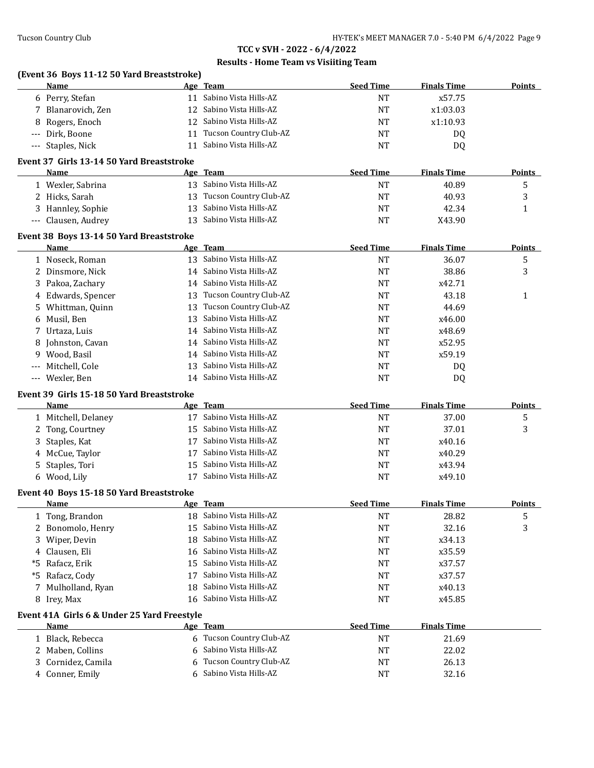| Name                                        |    | Age Team                  | <b>Seed Time</b> | <b>Finals Time</b> | <b>Points</b> |
|---------------------------------------------|----|---------------------------|------------------|--------------------|---------------|
| 6 Perry, Stefan                             |    | 11 Sabino Vista Hills-AZ  | <b>NT</b>        | x57.75             |               |
| 7 Blanarovich, Zen                          |    | 12 Sabino Vista Hills-AZ  | <b>NT</b>        | x1:03.03           |               |
| Rogers, Enoch<br>8                          |    | 12 Sabino Vista Hills-AZ  | <b>NT</b>        | x1:10.93           |               |
| Dirk, Boone<br>$---$                        |    | 11 Tucson Country Club-AZ | <b>NT</b>        | DQ                 |               |
| --- Staples, Nick                           |    | 11 Sabino Vista Hills-AZ  | <b>NT</b>        | DQ                 |               |
| Event 37 Girls 13-14 50 Yard Breaststroke   |    |                           |                  |                    |               |
| Name                                        |    | Age Team                  | <b>Seed Time</b> | <b>Finals Time</b> | <b>Points</b> |
| 1 Wexler, Sabrina                           |    | 13 Sabino Vista Hills-AZ  | <b>NT</b>        | 40.89              | 5             |
| 2 Hicks, Sarah                              |    | 13 Tucson Country Club-AZ | <b>NT</b>        | 40.93              | 3             |
| 3 Hannley, Sophie                           |    | 13 Sabino Vista Hills-AZ  | <b>NT</b>        | 42.34              | $\mathbf{1}$  |
| --- Clausen, Audrey                         |    | 13 Sabino Vista Hills-AZ  | <b>NT</b>        | X43.90             |               |
| Event 38 Boys 13-14 50 Yard Breaststroke    |    |                           |                  |                    |               |
| Name                                        |    | Age Team                  | <b>Seed Time</b> | <b>Finals Time</b> | <b>Points</b> |
| 1 Noseck, Roman                             |    | 13 Sabino Vista Hills-AZ  | <b>NT</b>        | 36.07              | 5             |
| 2 Dinsmore, Nick                            |    | 14 Sabino Vista Hills-AZ  | <b>NT</b>        | 38.86              | 3             |
| 3 Pakoa, Zachary                            |    | 14 Sabino Vista Hills-AZ  | NT               | x42.71             |               |
| 4 Edwards, Spencer                          |    | 13 Tucson Country Club-AZ | <b>NT</b>        | 43.18              | $\mathbf{1}$  |
| Whittman, Quinn<br>5.                       |    | 13 Tucson Country Club-AZ | <b>NT</b>        | 44.69              |               |
| 6 Musil, Ben                                |    | 13 Sabino Vista Hills-AZ  | <b>NT</b>        | x46.00             |               |
| 7 Urtaza, Luis                              |    | 14 Sabino Vista Hills-AZ  | <b>NT</b>        | x48.69             |               |
| 8 Johnston, Cavan                           |    | 14 Sabino Vista Hills-AZ  | <b>NT</b>        | x52.95             |               |
| Wood, Basil<br>9                            |    | 14 Sabino Vista Hills-AZ  | <b>NT</b>        | x59.19             |               |
| Mitchell, Cole<br>---                       |    | 13 Sabino Vista Hills-AZ  | <b>NT</b>        | DQ                 |               |
| --- Wexler, Ben                             |    | 14 Sabino Vista Hills-AZ  | <b>NT</b>        | DQ                 |               |
| Event 39 Girls 15-18 50 Yard Breaststroke   |    |                           |                  |                    |               |
| Name                                        |    | Age Team                  | <b>Seed Time</b> | <b>Finals Time</b> | <b>Points</b> |
| 1 Mitchell, Delaney                         |    | 17 Sabino Vista Hills-AZ  | <b>NT</b>        | 37.00              | 5             |
| 2 Tong, Courtney                            |    | 15 Sabino Vista Hills-AZ  | <b>NT</b>        | 37.01              | 3             |
| 3<br>Staples, Kat                           |    | 17 Sabino Vista Hills-AZ  | <b>NT</b>        | x40.16             |               |
| 4 McCue, Taylor                             |    | 17 Sabino Vista Hills-AZ  | <b>NT</b>        | x40.29             |               |
| Staples, Tori<br>5                          |    | 15 Sabino Vista Hills-AZ  | <b>NT</b>        | x43.94             |               |
| 6 Wood, Lily                                |    | 17 Sabino Vista Hills-AZ  | <b>NT</b>        | x49.10             |               |
| Event 40 Boys 15-18 50 Yard Breaststroke    |    |                           |                  |                    |               |
| Name                                        |    | Age Team                  | <b>Seed Time</b> | <b>Finals Time</b> | <b>Points</b> |
| 1 Tong, Brandon                             |    | 18 Sabino Vista Hills-AZ  | <b>NT</b>        | 28.82              | 5             |
| Bonomolo, Henry<br>2                        | 15 | Sabino Vista Hills-AZ     | <b>NT</b>        | 32.16              | 3             |
| Wiper, Devin<br>3                           | 18 | Sabino Vista Hills-AZ     | NT               | x34.13             |               |
| Clausen, Eli<br>4                           | 16 | Sabino Vista Hills-AZ     | NT               | x35.59             |               |
| Rafacz, Erik<br>*5                          | 15 | Sabino Vista Hills-AZ     | NT               | x37.57             |               |
| Rafacz, Cody<br>*5                          | 17 | Sabino Vista Hills-AZ     | NT               | x37.57             |               |
| Mulholland, Ryan<br>7                       | 18 | Sabino Vista Hills-AZ     | NT               | x40.13             |               |
| 8 Irey, Max                                 | 16 | Sabino Vista Hills-AZ     | NT               | x45.85             |               |
| Event 41A Girls 6 & Under 25 Yard Freestyle |    |                           |                  |                    |               |
| Name                                        |    | Age Team                  | <b>Seed Time</b> | <b>Finals Time</b> |               |
| 1 Black, Rebecca                            |    | 6 Tucson Country Club-AZ  | <b>NT</b>        | 21.69              |               |
| 2 Maben, Collins                            | 6  | Sabino Vista Hills-AZ     | <b>NT</b>        | 22.02              |               |
| Cornidez, Camila<br>3                       | 6  | Tucson Country Club-AZ    | NT               | 26.13              |               |
| 4 Conner, Emily                             | 6  | Sabino Vista Hills-AZ     | <b>NT</b>        | 32.16              |               |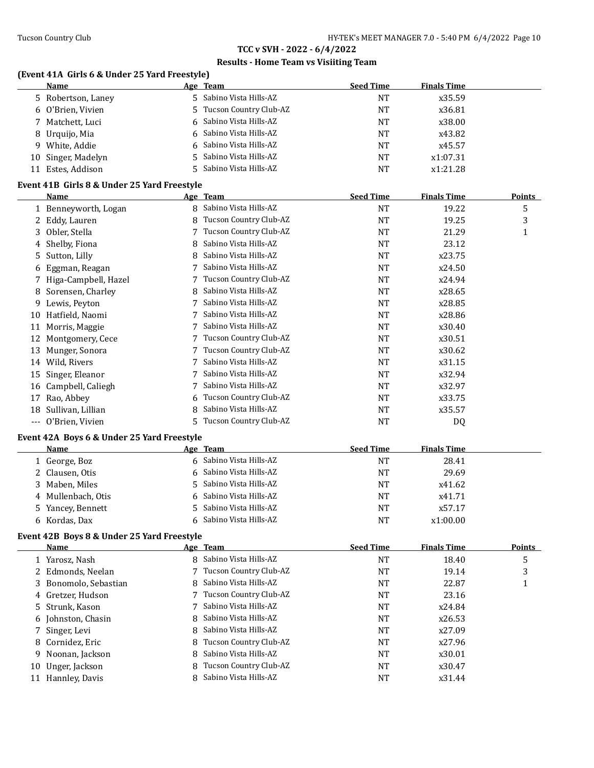### **Results - Home Team vs Visiiting Team**

### **(Event 41A Girls 6 & Under 25 Yard Freestyle)**

| <b>Name</b> |                                                                                                                                               | <b>Seed Time</b>                                                                                                                                                                                       | <b>Finals Time</b> |
|-------------|-----------------------------------------------------------------------------------------------------------------------------------------------|--------------------------------------------------------------------------------------------------------------------------------------------------------------------------------------------------------|--------------------|
|             |                                                                                                                                               | NT                                                                                                                                                                                                     | x35.59             |
|             |                                                                                                                                               | NT                                                                                                                                                                                                     | x36.81             |
|             |                                                                                                                                               | NT                                                                                                                                                                                                     | x38.00             |
|             |                                                                                                                                               | NT                                                                                                                                                                                                     | x43.82             |
|             |                                                                                                                                               | NT                                                                                                                                                                                                     | x45.57             |
|             |                                                                                                                                               | <b>NT</b>                                                                                                                                                                                              | x1:07.31           |
|             |                                                                                                                                               | NT                                                                                                                                                                                                     | x1:21.28           |
|             | 5 Robertson, Laney<br>6 O'Brien, Vivien<br>7 Matchett, Luci<br>8 Urquijo, Mia<br>9 White, Addie<br>10 Singer, Madelyn<br>Estes, Addison<br>11 | Age Team<br>5 Sabino Vista Hills-AZ<br>5 Tucson Country Club-AZ<br>6 Sabino Vista Hills-AZ<br>6 Sabino Vista Hills-AZ<br>6 Sabino Vista Hills-AZ<br>5 Sabino Vista Hills-AZ<br>5 Sabino Vista Hills-AZ |                    |

#### **Event 41B Girls 8 & Under 25 Yard Freestyle**

|       | Name                                       |    | Age Team               | <b>Seed Time</b> | <b>Finals Time</b> | <b>Points</b> |
|-------|--------------------------------------------|----|------------------------|------------------|--------------------|---------------|
|       | 1 Benneyworth, Logan                       | 8  | Sabino Vista Hills-AZ  | NT               | 19.22              | 5             |
|       | 2 Eddy, Lauren                             | 8  | Tucson Country Club-AZ | NT               | 19.25              | 3             |
|       | 3 Obler, Stella                            |    | Tucson Country Club-AZ | <b>NT</b>        | 21.29              | 1             |
| 4     | Shelby, Fiona                              | 8  | Sabino Vista Hills-AZ  | NT               | 23.12              |               |
| 5.    | Sutton, Lilly                              | 8  | Sabino Vista Hills-AZ  | NT               | x23.75             |               |
| 6     | Eggman, Reagan                             |    | Sabino Vista Hills-AZ  | NT               | x24.50             |               |
|       | 7 Higa-Campbell, Hazel                     |    | Tucson Country Club-AZ | NT               | x24.94             |               |
| 8     | Sorensen, Charley                          | 8  | Sabino Vista Hills-AZ  | NT               | x28.65             |               |
| 9     | Lewis, Peyton                              |    | Sabino Vista Hills-AZ  | <b>NT</b>        | x28.85             |               |
| 10    | Hatfield, Naomi                            |    | Sabino Vista Hills-AZ  | <b>NT</b>        | x28.86             |               |
| 11    | Morris, Maggie                             |    | Sabino Vista Hills-AZ  | <b>NT</b>        | x30.40             |               |
| 12    | Montgomery, Cece                           |    | Tucson Country Club-AZ | <b>NT</b>        | x30.51             |               |
| 13    | Munger, Sonora                             |    | Tucson Country Club-AZ | <b>NT</b>        | x30.62             |               |
| 14    | Wild, Rivers                               |    | Sabino Vista Hills-AZ  | NT               | x31.15             |               |
| 15    | Singer, Eleanor                            |    | Sabino Vista Hills-AZ  | NT               | x32.94             |               |
| 16    | Campbell, Caliegh                          |    | Sabino Vista Hills-AZ  | <b>NT</b>        | x32.97             |               |
| 17    | Rao, Abbey                                 | 6  | Tucson Country Club-AZ | NT               | x33.75             |               |
| 18    | Sullivan, Lillian                          | 8  | Sabino Vista Hills-AZ  | NT               | x35.57             |               |
| $---$ | O'Brien, Vivien                            | 5. | Tucson Country Club-AZ | NT               | DQ                 |               |
|       | Event 42A Boys 6 & Under 25 Yard Freestyle |    |                        |                  |                    |               |

| <b>Name</b>        | Age Team                | <b>Seed Time</b> | <b>Finals Time</b> |
|--------------------|-------------------------|------------------|--------------------|
| .   George, Boz    | 6 Sabino Vista Hills-AZ | NT               | 28.41              |
| 2 Clausen, Otis    | 6 Sabino Vista Hills-AZ | NT               | 29.69              |
| 3 Maben, Miles     | 5 Sabino Vista Hills-AZ | NT               | x41.62             |
| 4 Mullenbach, Otis | 6 Sabino Vista Hills-AZ | NT               | x41.71             |
| 5 Yancey, Bennett  | 5 Sabino Vista Hills-AZ | NT               | x57.17             |
| 6 Kordas, Dax      | 6 Sabino Vista Hills-AZ | NT               | x1:00.00           |

#### **Event 42B Boys 8 & Under 25 Yard Freestyle**

|    | <b>Name</b>           |   | Age Team                 | <b>Seed Time</b> | <b>Finals Time</b> | <b>Points</b> |
|----|-----------------------|---|--------------------------|------------------|--------------------|---------------|
|    | 1 Yarosz, Nash        |   | 8 Sabino Vista Hills-AZ  | NT               | 18.40              | 5             |
|    | 2 Edmonds, Neelan     |   | 7 Tucson Country Club-AZ | NT               | 19.14              | 3             |
|    | 3 Bonomolo, Sebastian |   | 8 Sabino Vista Hills-AZ  | NT               | 22.87              |               |
|    | 4 Gretzer, Hudson     |   | 7 Tucson Country Club-AZ | NT               | 23.16              |               |
|    | 5 Strunk, Kason       |   | 7 Sabino Vista Hills-AZ  | NT               | x24.84             |               |
|    | 6 Johnston, Chasin    |   | 8 Sabino Vista Hills-AZ  | NT               | x26.53             |               |
|    | 7 Singer, Levi        |   | 8 Sabino Vista Hills-AZ  | NT               | x27.09             |               |
|    | 8 Cornidez, Eric      |   | 8 Tucson Country Club-AZ | NT               | x27.96             |               |
|    | 9 Noonan, Jackson     |   | 8 Sabino Vista Hills-AZ  | <b>NT</b>        | x30.01             |               |
| 10 | Unger, Jackson        | 8 | Tucson Country Club-AZ   | NT               | x30.47             |               |
|    | 11 Hannley, Davis     |   | 8 Sabino Vista Hills-AZ  | <b>NT</b>        | x31.44             |               |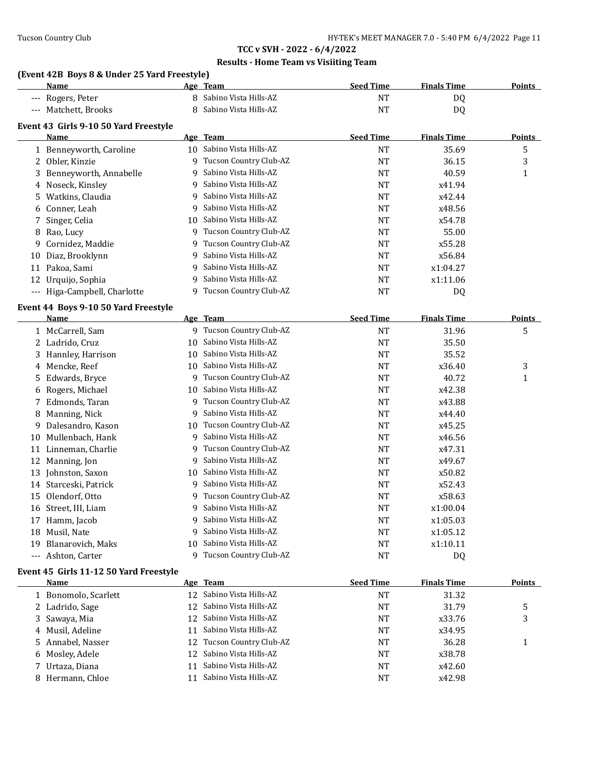### **Results - Home Team vs Visiiting Team**

### **(Event 42B Boys 8 & Under 25 Yard Freestyle)**

|     | Name                                          |    | Age Team                      | <b>Seed Time</b> | <b>Finals Time</b> | <b>Points</b> |
|-----|-----------------------------------------------|----|-------------------------------|------------------|--------------------|---------------|
|     | Rogers, Peter                                 |    | 8 Sabino Vista Hills-AZ       | <b>NT</b>        | DQ                 |               |
|     | Matchett, Brooks                              |    | 8 Sabino Vista Hills-AZ       | <b>NT</b>        | DQ                 |               |
|     |                                               |    |                               |                  |                    |               |
|     | Event 43 Girls 9-10 50 Yard Freestyle<br>Name |    | Age Team                      | <b>Seed Time</b> | <b>Finals Time</b> | <b>Points</b> |
|     | 1 Benneyworth, Caroline                       |    | 10 Sabino Vista Hills-AZ      | <b>NT</b>        | 35.69              | 5             |
|     | 2 Obler, Kinzie                               | 9  | Tucson Country Club-AZ        | <b>NT</b>        | 36.15              | 3             |
| 3   | Benneyworth, Annabelle                        | 9  | Sabino Vista Hills-AZ         | <b>NT</b>        | 40.59              | 1             |
| 4   | Noseck, Kinsley                               | 9  | Sabino Vista Hills-AZ         | <b>NT</b>        | x41.94             |               |
| 5   | Watkins, Claudia                              | 9  | Sabino Vista Hills-AZ         | <b>NT</b>        | x42.44             |               |
| 6   | Conner, Leah                                  | 9  | Sabino Vista Hills-AZ         | <b>NT</b>        | x48.56             |               |
| 7   | Singer, Celia                                 |    | 10 Sabino Vista Hills-AZ      | <b>NT</b>        | x54.78             |               |
| 8   | Rao, Lucy                                     | 9  | Tucson Country Club-AZ        | <b>NT</b>        | 55.00              |               |
| 9   | Cornidez, Maddie                              | 9  | Tucson Country Club-AZ        | <b>NT</b>        | x55.28             |               |
| 10  | Diaz, Brooklynn                               | 9  | Sabino Vista Hills-AZ         | <b>NT</b>        | x56.84             |               |
| 11  | Pakoa, Sami                                   | 9  | Sabino Vista Hills-AZ         | <b>NT</b>        | x1:04.27           |               |
| 12  | Urquijo, Sophia                               | 9  | Sabino Vista Hills-AZ         | <b>NT</b>        | x1:11.06           |               |
|     |                                               |    | 9 Tucson Country Club-AZ      | <b>NT</b>        |                    |               |
|     | --- Higa-Campbell, Charlotte                  |    |                               |                  | DQ                 |               |
|     | Event 44 Boys 9-10 50 Yard Freestyle          |    |                               |                  |                    |               |
|     | Name                                          |    | Age Team                      | <b>Seed Time</b> | <b>Finals Time</b> | <b>Points</b> |
|     | 1 McCarrell, Sam                              |    | 9 Tucson Country Club-AZ      | <b>NT</b>        | 31.96              | 5             |
|     | 2 Ladrido, Cruz                               | 10 | Sabino Vista Hills-AZ         | <b>NT</b>        | 35.50              |               |
|     | 3 Hannley, Harrison                           | 10 | Sabino Vista Hills-AZ         | <b>NT</b>        | 35.52              |               |
|     | 4 Mencke, Reef                                |    | 10 Sabino Vista Hills-AZ      | <b>NT</b>        | x36.40             | 3             |
| 5   | Edwards, Bryce                                | 9  | Tucson Country Club-AZ        | <b>NT</b>        | 40.72              | 1             |
| 6   | Rogers, Michael                               | 10 | Sabino Vista Hills-AZ         | NT               | x42.38             |               |
| 7   | Edmonds, Taran                                | 9  | Tucson Country Club-AZ        | <b>NT</b>        | x43.88             |               |
| 8   | Manning, Nick                                 | 9  | Sabino Vista Hills-AZ         | <b>NT</b>        | x44.40             |               |
| 9   | Dalesandro, Kason                             | 10 | Tucson Country Club-AZ        | <b>NT</b>        | x45.25             |               |
|     | 10 Mullenbach, Hank                           | 9  | Sabino Vista Hills-AZ         | <b>NT</b>        | x46.56             |               |
|     | 11 Linneman, Charlie                          | 9  | Tucson Country Club-AZ        | <b>NT</b>        | x47.31             |               |
|     | 12 Manning, Jon                               | 9  | Sabino Vista Hills-AZ         | <b>NT</b>        | x49.67             |               |
| 13  | Johnston, Saxon                               | 10 | Sabino Vista Hills-AZ         | <b>NT</b>        | x50.82             |               |
|     | 14 Starceski, Patrick                         | 9  | Sabino Vista Hills-AZ         | NT               | x52.43             |               |
|     | 15 Olendorf, Otto                             |    | 9 Tucson Country Club-AZ      | <b>NT</b>        | x58.63             |               |
|     | 16 Street, III, Liam                          |    | 9 Sabino Vista Hills-AZ       | <b>NT</b>        | x1:00.04           |               |
|     | 17 Hamm, Jacob                                | 9  | Sabino Vista Hills-AZ         | <b>NT</b>        | x1:05.03           |               |
|     | 18 Musil, Nate                                |    | 9 Sabino Vista Hills-AZ       | <b>NT</b>        | x1:05.12           |               |
| 19  | Blanarovich, Maks                             |    | 10 Sabino Vista Hills-AZ      | <b>NT</b>        | x1:10.11           |               |
| --- | Ashton, Carter                                |    | 9 Tucson Country Club-AZ      | <b>NT</b>        | DQ                 |               |
|     | Event 45 Girls 11-12 50 Yard Freestyle        |    |                               |                  |                    |               |
|     | Name                                          |    | Age Team                      | <b>Seed Time</b> | <b>Finals Time</b> | <b>Points</b> |
|     | 1 Bonomolo, Scarlett                          |    | 12 Sabino Vista Hills-AZ      | <b>NT</b>        | 31.32              |               |
|     | 2 Ladrido, Sage                               | 12 | Sabino Vista Hills-AZ         | NT               | 31.79              | 5             |
| 3   | Sawaya, Mia                                   | 12 | Sabino Vista Hills-AZ         | NT               | x33.76             | 3             |
| 4   | Musil, Adeline                                | 11 | Sabino Vista Hills-AZ         | NT               | x34.95             |               |
| 5.  | Annabel, Nasser                               | 12 | <b>Tucson Country Club-AZ</b> | NT               | 36.28              | 1             |
| 6   | Mosley, Adele                                 | 12 | Sabino Vista Hills-AZ         | NT               | x38.78             |               |
| 7   | Urtaza, Diana                                 | 11 | Sabino Vista Hills-AZ         | NT               | x42.60             |               |
|     | 8 Hermann, Chloe                              | 11 | Sabino Vista Hills-AZ         | NT               | x42.98             |               |
|     |                                               |    |                               |                  |                    |               |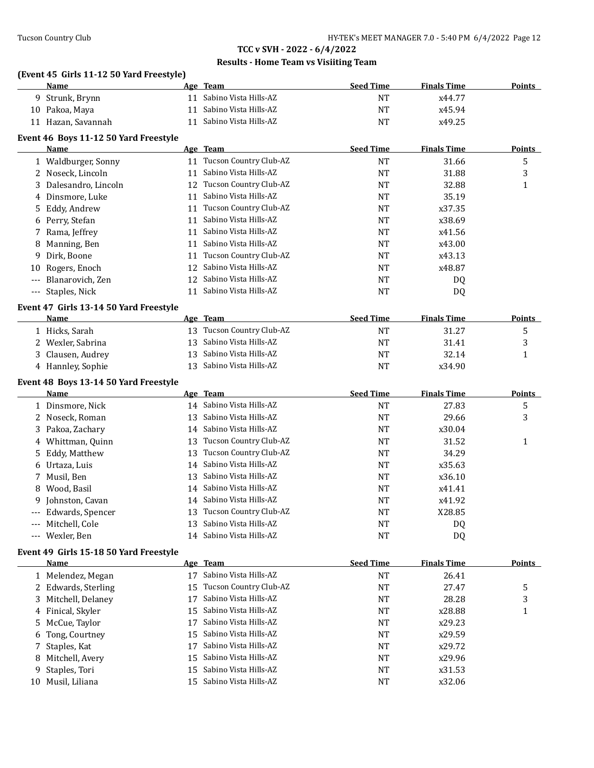### **Results - Home Team vs Visiiting Team**

### **(Event 45 Girls 11-12 50 Yard Freestyle)**

|     | <b>Name</b>                                           |    | Age Team                  | <b>Seed Time</b> | <b>Finals Time</b> | <b>Points</b> |
|-----|-------------------------------------------------------|----|---------------------------|------------------|--------------------|---------------|
|     | 9 Strunk, Brynn                                       | 11 | Sabino Vista Hills-AZ     | <b>NT</b>        | x44.77             |               |
|     | 10 Pakoa, Maya                                        | 11 | Sabino Vista Hills-AZ     | <b>NT</b>        | x45.94             |               |
|     | 11 Hazan, Savannah                                    | 11 | Sabino Vista Hills-AZ     | <b>NT</b>        | x49.25             |               |
|     | Event 46 Boys 11-12 50 Yard Freestyle                 |    |                           |                  |                    |               |
|     | Name                                                  |    | Age Team                  | <b>Seed Time</b> | <b>Finals Time</b> | <b>Points</b> |
|     | 1 Waldburger, Sonny                                   |    | 11 Tucson Country Club-AZ | <b>NT</b>        | 31.66              | 5             |
|     | 2 Noseck, Lincoln                                     | 11 | Sabino Vista Hills-AZ     | <b>NT</b>        | 31.88              | 3             |
|     | 3 Dalesandro, Lincoln                                 |    | 12 Tucson Country Club-AZ | <b>NT</b>        | 32.88              | $\mathbf{1}$  |
|     | 4 Dinsmore, Luke                                      | 11 | Sabino Vista Hills-AZ     | <b>NT</b>        | 35.19              |               |
| 5   | Eddy, Andrew                                          |    | 11 Tucson Country Club-AZ | <b>NT</b>        | x37.35             |               |
|     | 6 Perry, Stefan                                       | 11 | Sabino Vista Hills-AZ     | NT               | x38.69             |               |
| 7   | Rama, Jeffrey                                         | 11 | Sabino Vista Hills-AZ     | <b>NT</b>        | x41.56             |               |
| 8   | Manning, Ben                                          | 11 | Sabino Vista Hills-AZ     | <b>NT</b>        | x43.00             |               |
| 9   | Dirk, Boone                                           | 11 | Tucson Country Club-AZ    | NT               | x43.13             |               |
| 10  | Rogers, Enoch                                         | 12 | Sabino Vista Hills-AZ     | <b>NT</b>        | x48.87             |               |
| --- | Blanarovich, Zen                                      | 12 | Sabino Vista Hills-AZ     | <b>NT</b>        | DQ                 |               |
| --- | Staples, Nick                                         | 11 | Sabino Vista Hills-AZ     | <b>NT</b>        | DQ                 |               |
|     |                                                       |    |                           |                  |                    |               |
|     | Event 47 Girls 13-14 50 Yard Freestyle<br><b>Name</b> |    | Age Team                  | <b>Seed Time</b> | <b>Finals Time</b> | <b>Points</b> |
|     | 1 Hicks, Sarah                                        |    | 13 Tucson Country Club-AZ | <b>NT</b>        | 31.27              | 5             |
|     | 2 Wexler, Sabrina                                     | 13 | Sabino Vista Hills-AZ     | <b>NT</b>        | 31.41              | 3             |
| 3   | Clausen, Audrey                                       | 13 | Sabino Vista Hills-AZ     | <b>NT</b>        | 32.14              | 1             |
|     | 4 Hannley, Sophie                                     |    | 13 Sabino Vista Hills-AZ  | <b>NT</b>        | x34.90             |               |
|     |                                                       |    |                           |                  |                    |               |
|     | Event 48 Boys 13-14 50 Yard Freestyle                 |    |                           |                  |                    |               |
|     | Name                                                  |    | Age Team                  | <b>Seed Time</b> | <b>Finals Time</b> | <b>Points</b> |
|     | 1 Dinsmore, Nick                                      |    | 14 Sabino Vista Hills-AZ  | <b>NT</b>        | 27.83              | 5             |
|     | 2 Noseck, Roman                                       |    | 13 Sabino Vista Hills-AZ  | <b>NT</b>        | 29.66              | 3             |
|     | 3 Pakoa, Zachary                                      |    | 14 Sabino Vista Hills-AZ  | <b>NT</b>        | x30.04             |               |
|     | 4 Whittman, Quinn                                     |    | 13 Tucson Country Club-AZ | <b>NT</b>        | 31.52              | 1             |
| 5   | Eddy, Matthew                                         | 13 | Tucson Country Club-AZ    | NT               | 34.29              |               |
| 6   | Urtaza, Luis                                          | 14 | Sabino Vista Hills-AZ     | <b>NT</b>        | x35.63             |               |
| 7   | Musil, Ben                                            | 13 | Sabino Vista Hills-AZ     | <b>NT</b>        | x36.10             |               |
| 8   | Wood, Basil                                           | 14 | Sabino Vista Hills-AZ     | NT               | x41.41             |               |
| 9   | Johnston, Cavan                                       |    | 14 Sabino Vista Hills-AZ  | <b>NT</b>        | x41.92             |               |
|     | Edwards, Spencer                                      |    | 13 Tucson Country Club-AZ | <b>NT</b>        | X28.85             |               |
| --- | Mitchell, Cole                                        |    | 13 Sabino Vista Hills-AZ  | NT               | DQ                 |               |
| --- | Wexler, Ben                                           |    | 14 Sabino Vista Hills-AZ  | NT               | DQ                 |               |
|     | Event 49 Girls 15-18 50 Yard Freestyle                |    |                           |                  |                    |               |
|     | <u>Name</u>                                           |    | Age Team                  | <b>Seed Time</b> | <b>Finals Time</b> | <b>Points</b> |
|     | 1 Melendez, Megan                                     | 17 | Sabino Vista Hills-AZ     | <b>NT</b>        | 26.41              |               |
| 2   | Edwards, Sterling                                     | 15 | Tucson Country Club-AZ    | NT               | 27.47              | 5             |
| 3.  | Mitchell, Delaney                                     | 17 | Sabino Vista Hills-AZ     | NT               | 28.28              | 3             |
| 4   | Finical, Skyler                                       | 15 | Sabino Vista Hills-AZ     | NT               | x28.88             | 1             |
| 5.  | McCue, Taylor                                         | 17 | Sabino Vista Hills-AZ     | <b>NT</b>        | x29.23             |               |
| 6   | Tong, Courtney                                        | 15 | Sabino Vista Hills-AZ     | <b>NT</b>        | x29.59             |               |
| 7   | Staples, Kat                                          | 17 | Sabino Vista Hills-AZ     | <b>NT</b>        | x29.72             |               |
|     | 8 Mitchell, Avery                                     | 15 | Sabino Vista Hills-AZ     | <b>NT</b>        | x29.96             |               |
| 9   | Staples, Tori                                         | 15 | Sabino Vista Hills-AZ     | <b>NT</b>        | x31.53             |               |
|     | 10 Musil, Liliana                                     | 15 | Sabino Vista Hills-AZ     | <b>NT</b>        | x32.06             |               |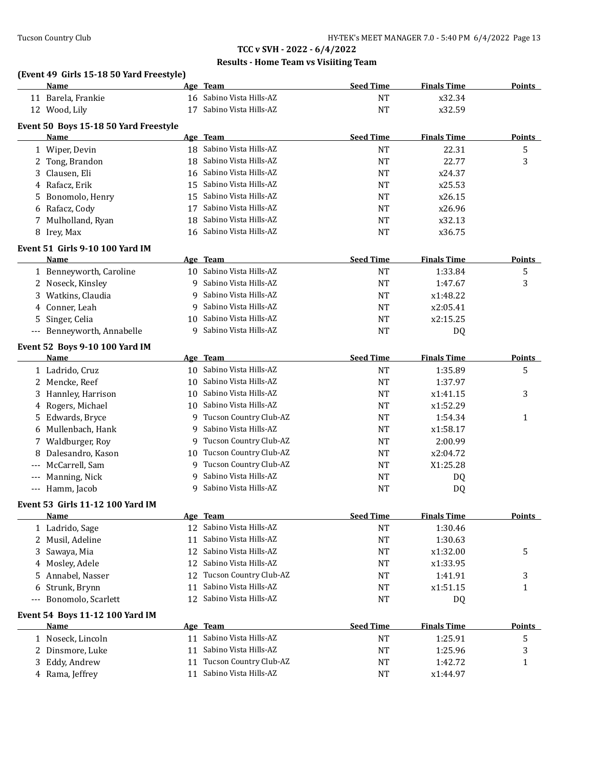### **Results - Home Team vs Visiiting Team**

#### **(Event 49 Girls 15-18 50 Yard Freestyle)**

|                     | Name                                   |    | Age Team                 | <b>Seed Time</b> | <b>Finals Time</b> | <b>Points</b> |
|---------------------|----------------------------------------|----|--------------------------|------------------|--------------------|---------------|
|                     | 11 Barela, Frankie                     |    | 16 Sabino Vista Hills-AZ | <b>NT</b>        | x32.34             |               |
|                     | 12 Wood, Lily                          |    | 17 Sabino Vista Hills-AZ | <b>NT</b>        | x32.59             |               |
|                     | Event 50 Boys 15-18 50 Yard Freestyle  |    |                          |                  |                    |               |
|                     | Name                                   |    | Age Team                 | <b>Seed Time</b> | <b>Finals Time</b> | <b>Points</b> |
|                     | 1 Wiper, Devin                         |    | 18 Sabino Vista Hills-AZ | <b>NT</b>        | 22.31              | 5             |
|                     | 2 Tong, Brandon                        |    | 18 Sabino Vista Hills-AZ | <b>NT</b>        | 22.77              | 3             |
| 3                   | Clausen, Eli                           |    | 16 Sabino Vista Hills-AZ | <b>NT</b>        | x24.37             |               |
| 4                   | Rafacz, Erik                           |    | 15 Sabino Vista Hills-AZ | NT               | x25.53             |               |
| 5                   | Bonomolo, Henry                        |    | 15 Sabino Vista Hills-AZ | NT               | x26.15             |               |
| 6                   | Rafacz, Cody                           | 17 | Sabino Vista Hills-AZ    | NT               | x26.96             |               |
| 7                   |                                        | 18 | Sabino Vista Hills-AZ    | <b>NT</b>        | x32.13             |               |
|                     | Mulholland, Ryan                       |    | 16 Sabino Vista Hills-AZ |                  |                    |               |
|                     | 8 Irey, Max                            |    |                          | <b>NT</b>        | x36.75             |               |
|                     | <b>Event 51 Girls 9-10 100 Yard IM</b> |    |                          |                  |                    |               |
|                     | Name                                   |    | Age Team                 | <b>Seed Time</b> | <b>Finals Time</b> | Points        |
|                     | 1 Benneyworth, Caroline                |    | 10 Sabino Vista Hills-AZ | <b>NT</b>        | 1:33.84            | 5             |
|                     | 2 Noseck, Kinsley                      | 9  | Sabino Vista Hills-AZ    | <b>NT</b>        | 1:47.67            | 3             |
|                     | 3 Watkins, Claudia                     | 9  | Sabino Vista Hills-AZ    | NT               | x1:48.22           |               |
|                     | 4 Conner, Leah                         | 9  | Sabino Vista Hills-AZ    | NT               | x2:05.41           |               |
| 5                   | Singer, Celia                          | 10 | Sabino Vista Hills-AZ    | <b>NT</b>        | x2:15.25           |               |
|                     | --- Benneyworth, Annabelle             | 9  | Sabino Vista Hills-AZ    | <b>NT</b>        | DQ                 |               |
|                     | Event 52 Boys 9-10 100 Yard IM         |    |                          |                  |                    |               |
|                     | Name                                   |    | Age Team                 | <b>Seed Time</b> | <b>Finals Time</b> | <b>Points</b> |
|                     | 1 Ladrido, Cruz                        |    | 10 Sabino Vista Hills-AZ | <b>NT</b>        | 1:35.89            | 5             |
|                     | 2 Mencke, Reef                         | 10 | Sabino Vista Hills-AZ    | <b>NT</b>        | 1:37.97            |               |
|                     |                                        | 10 | Sabino Vista Hills-AZ    | <b>NT</b>        | x1:41.15           | 3             |
| 3                   | Hannley, Harrison                      |    | Sabino Vista Hills-AZ    |                  |                    |               |
| 4                   | Rogers, Michael                        | 10 | Tucson Country Club-AZ   | <b>NT</b>        | x1:52.29           |               |
| 5.                  | Edwards, Bryce                         | 9  | Sabino Vista Hills-AZ    | NT               | 1:54.34            | 1             |
| 6                   | Mullenbach, Hank                       | 9  |                          | NT               | x1:58.17           |               |
|                     | 7 Waldburger, Roy                      | 9  | Tucson Country Club-AZ   | NT               | 2:00.99            |               |
| 8                   | Dalesandro, Kason                      | 10 | Tucson Country Club-AZ   | NT               | x2:04.72           |               |
| $\qquad \qquad - -$ | McCarrell, Sam                         | 9  | Tucson Country Club-AZ   | NT               | X1:25.28           |               |
| $\qquad \qquad - -$ | Manning, Nick                          | 9  | Sabino Vista Hills-AZ    | NT               | DQ                 |               |
|                     | --- Hamm, Jacob                        | q  | Sabino Vista Hills-AZ    | <b>NT</b>        | DQ                 |               |
|                     | Event 53 Girls 11-12 100 Yard IM       |    |                          |                  |                    |               |
|                     | Name                                   |    | Age Team                 | <b>Seed Time</b> | <b>Finals Time</b> | <b>Points</b> |
|                     | 1 Ladrido, Sage                        |    | 12 Sabino Vista Hills-AZ | <b>NT</b>        | 1:30.46            |               |
|                     | 2 Musil, Adeline                       | 11 | Sabino Vista Hills-AZ    | <b>NT</b>        | 1:30.63            |               |
| 3                   | Sawaya, Mia                            | 12 | Sabino Vista Hills-AZ    | <b>NT</b>        | x1:32.00           | 5             |
| 4                   | Mosley, Adele                          | 12 | Sabino Vista Hills-AZ    | <b>NT</b>        | x1:33.95           |               |
| 5                   | Annabel, Nasser                        | 12 | Tucson Country Club-AZ   | NT               | 1:41.91            | 3             |
| 6                   | Strunk, Brynn                          | 11 | Sabino Vista Hills-AZ    | NT               | x1:51.15           | 1             |
| $\qquad \qquad - -$ | Bonomolo, Scarlett                     | 12 | Sabino Vista Hills-AZ    | <b>NT</b>        | DQ                 |               |
|                     |                                        |    |                          |                  |                    |               |
|                     | Event 54 Boys 11-12 100 Yard IM        |    |                          |                  |                    |               |
|                     | Name                                   |    | Age Team                 | <b>Seed Time</b> | <b>Finals Time</b> | <b>Points</b> |
|                     | 1 Noseck, Lincoln                      | 11 | Sabino Vista Hills-AZ    | NT               | 1:25.91            | 5             |
|                     | 2 Dinsmore, Luke                       | 11 | Sabino Vista Hills-AZ    | NT               | 1:25.96            | 3             |
| 3                   | Eddy, Andrew                           | 11 | Tucson Country Club-AZ   | <b>NT</b>        | 1:42.72            | 1             |
|                     | 4 Rama, Jeffrey                        | 11 | Sabino Vista Hills-AZ    | NT               | x1:44.97           |               |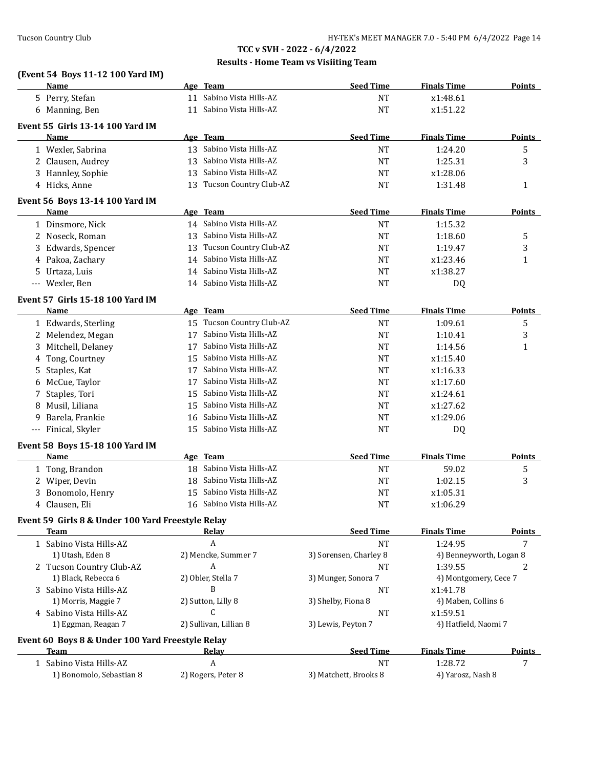### **Results - Home Team vs Visiiting Team**

# **(Event 54 Boys 11-12 100 Yard IM)**

|             | <u>Name</u>                                              |    | Age Team                  | <b>Seed Time</b>       | <b>Finals Time</b>      | <b>Points</b> |
|-------------|----------------------------------------------------------|----|---------------------------|------------------------|-------------------------|---------------|
|             | 5 Perry, Stefan                                          |    | 11 Sabino Vista Hills-AZ  | <b>NT</b>              | x1:48.61                |               |
|             | 6 Manning, Ben                                           |    | 11 Sabino Vista Hills-AZ  | <b>NT</b>              | x1:51.22                |               |
|             | Event 55 Girls 13-14 100 Yard IM                         |    |                           |                        |                         |               |
|             | Name                                                     |    | Age Team                  | <b>Seed Time</b>       | <b>Finals Time</b>      | <b>Points</b> |
|             | 1 Wexler, Sabrina                                        |    | 13 Sabino Vista Hills-AZ  | <b>NT</b>              | 1:24.20                 | 5             |
|             | 2 Clausen, Audrey                                        | 13 | Sabino Vista Hills-AZ     | NT                     | 1:25.31                 | 3             |
|             | 3 Hannley, Sophie                                        | 13 | Sabino Vista Hills-AZ     | NT                     | x1:28.06                |               |
|             | 4 Hicks, Anne                                            |    | 13 Tucson Country Club-AZ | <b>NT</b>              | 1:31.48                 | $\mathbf{1}$  |
|             |                                                          |    |                           |                        |                         |               |
|             | Event 56 Boys 13-14 100 Yard IM                          |    |                           |                        |                         |               |
|             | <b>Name</b>                                              |    | Age Team                  | <b>Seed Time</b>       | <b>Finals Time</b>      | Points        |
|             | 1 Dinsmore, Nick                                         |    | 14 Sabino Vista Hills-AZ  | <b>NT</b>              | 1:15.32                 |               |
|             | 2 Noseck, Roman                                          | 13 | Sabino Vista Hills-AZ     | <b>NT</b>              | 1:18.60                 | 5             |
| 3.          | Edwards, Spencer                                         | 13 | Tucson Country Club-AZ    | NT                     | 1:19.47                 | 3             |
| 4           | Pakoa, Zachary                                           | 14 | Sabino Vista Hills-AZ     | NT                     | x1:23.46                | 1             |
| 5.          | Urtaza, Luis                                             | 14 | Sabino Vista Hills-AZ     | NT                     | x1:38.27                |               |
| $-\, -\, -$ | Wexler, Ben                                              |    | 14 Sabino Vista Hills-AZ  | <b>NT</b>              | DQ                      |               |
|             | Event 57 Girls 15-18 100 Yard IM                         |    |                           |                        |                         |               |
|             | Name                                                     |    | Age Team                  | <b>Seed Time</b>       | <b>Finals Time</b>      | <b>Points</b> |
|             | 1 Edwards, Sterling                                      | 15 | Tucson Country Club-AZ    | <b>NT</b>              | 1:09.61                 | 5             |
|             | 2 Melendez, Megan                                        | 17 | Sabino Vista Hills-AZ     | <b>NT</b>              | 1:10.41                 | 3             |
| 3           | Mitchell, Delaney                                        | 17 | Sabino Vista Hills-AZ     | <b>NT</b>              | 1:14.56                 | $\mathbf{1}$  |
| 4           | Tong, Courtney                                           | 15 | Sabino Vista Hills-AZ     | <b>NT</b>              | x1:15.40                |               |
| 5           | Staples, Kat                                             | 17 | Sabino Vista Hills-AZ     | <b>NT</b>              | x1:16.33                |               |
|             | McCue, Taylor                                            | 17 | Sabino Vista Hills-AZ     | <b>NT</b>              | x1:17.60                |               |
| 6<br>7      | Staples, Tori                                            | 15 | Sabino Vista Hills-AZ     | NT                     | x1:24.61                |               |
|             | Musil, Liliana                                           | 15 | Sabino Vista Hills-AZ     |                        | x1:27.62                |               |
| 8           |                                                          |    | Sabino Vista Hills-AZ     | NT<br>NT               | x1:29.06                |               |
| 9           | Barela, Frankie                                          | 16 |                           |                        |                         |               |
|             | --- Finical, Skyler                                      |    | 15 Sabino Vista Hills-AZ  | NT                     | DQ                      |               |
|             | Event 58 Boys 15-18 100 Yard IM                          |    |                           |                        |                         |               |
|             | Name                                                     |    | Age Team                  | <b>Seed Time</b>       | <b>Finals Time</b>      | <b>Points</b> |
|             | 1 Tong, Brandon                                          |    | 18 Sabino Vista Hills-AZ  | <b>NT</b>              | 59.02                   | 5             |
|             | 2 Wiper, Devin                                           |    | 18 Sabino Vista Hills-AZ  | <b>NT</b>              | 1:02.15                 | 3             |
| 3.          | Bonomolo, Henry                                          | 15 | Sabino Vista Hills-AZ     | NT                     | x1:05.31                |               |
|             | 4 Clausen, Eli                                           |    | 16 Sabino Vista Hills-AZ  | NT                     | x1:06.29                |               |
|             | Event 59 Girls 8 & Under 100 Yard Freestyle Relay        |    |                           |                        |                         |               |
|             | Team                                                     |    | Relay                     | <b>Seed Time</b>       | <b>Finals Time</b>      | <b>Points</b> |
|             | 1 Sabino Vista Hills-AZ                                  |    | $\boldsymbol{A}$          | <b>NT</b>              | 1:24.95                 | 7             |
|             | 1) Utash, Eden 8                                         |    | 2) Mencke, Summer 7       | 3) Sorensen, Charley 8 | 4) Benneyworth, Logan 8 |               |
|             | 2 Tucson Country Club-AZ                                 |    | A                         | NT                     | 1:39.55                 | 2             |
|             | 1) Black, Rebecca 6                                      |    | 2) Obler, Stella 7        | 3) Munger, Sonora 7    | 4) Montgomery, Cece 7   |               |
|             | 3 Sabino Vista Hills-AZ                                  |    | B                         | NT                     | x1:41.78                |               |
|             | 1) Morris, Maggie 7                                      |    | 2) Sutton, Lilly 8        | 3) Shelby, Fiona 8     | 4) Maben, Collins 6     |               |
|             | 4 Sabino Vista Hills-AZ                                  |    | C                         | <b>NT</b>              | x1:59.51                |               |
|             | 1) Eggman, Reagan 7                                      |    | 2) Sullivan, Lillian 8    | 3) Lewis, Peyton 7     | 4) Hatfield, Naomi 7    |               |
|             |                                                          |    |                           |                        |                         |               |
|             | Event 60 Boys 8 & Under 100 Yard Freestyle Relay<br>Team |    |                           | <b>Seed Time</b>       | <b>Finals Time</b>      | <b>Points</b> |
|             |                                                          |    | <b>Relay</b><br>A         | <b>NT</b>              | 1:28.72                 | 7             |
|             | 1 Sabino Vista Hills-AZ                                  |    |                           |                        |                         |               |
|             | 1) Bonomolo, Sebastian 8                                 |    | 2) Rogers, Peter 8        | 3) Matchett, Brooks 8  | 4) Yarosz, Nash 8       |               |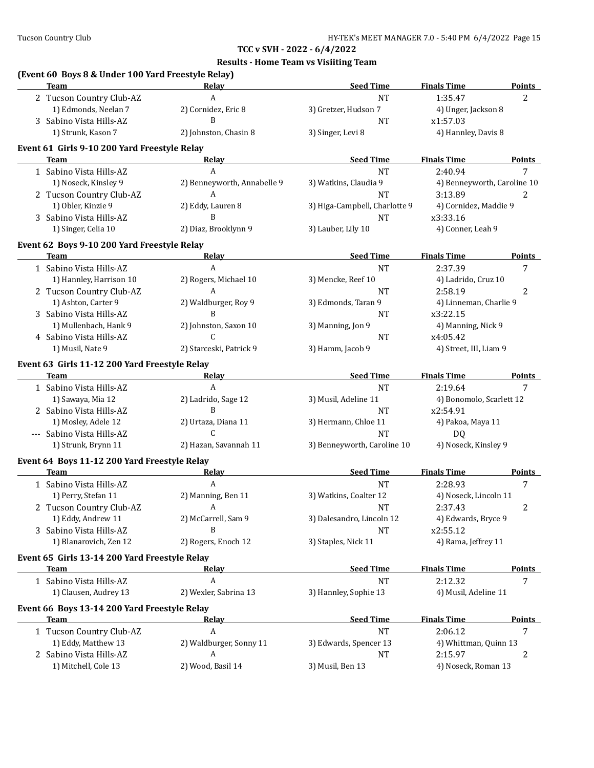| (Event 60 Boys 8 & Under 100 Yard Freestyle Relay)<br><b>Team</b> | Relay                            | <b>Seed Time</b>              | <b>Finals Time</b>             | <b>Points</b> |
|-------------------------------------------------------------------|----------------------------------|-------------------------------|--------------------------------|---------------|
| 2 Tucson Country Club-AZ                                          | A                                | <b>NT</b>                     | 1:35.47                        | 2             |
| 1) Edmonds, Neelan 7                                              | 2) Cornidez, Eric 8              | 3) Gretzer, Hudson 7          | 4) Unger, Jackson 8            |               |
| 3 Sabino Vista Hills-AZ                                           | B                                | <b>NT</b>                     | x1:57.03                       |               |
| 1) Strunk, Kason 7                                                | 2) Johnston, Chasin 8            | 3) Singer, Levi 8             | 4) Hannley, Davis 8            |               |
|                                                                   |                                  |                               |                                |               |
| Event 61 Girls 9-10 200 Yard Freestyle Relay<br>Team              | Relay                            | <b>Seed Time</b>              | <b>Finals Time</b>             | <b>Points</b> |
| 1 Sabino Vista Hills-AZ                                           | A                                | <b>NT</b>                     | 2:40.94                        | 7             |
|                                                                   |                                  |                               |                                |               |
| 1) Noseck, Kinsley 9<br>2 Tucson Country Club-AZ                  | 2) Benneyworth, Annabelle 9<br>A | 3) Watkins, Claudia 9         | 4) Benneyworth, Caroline 10    |               |
| 1) Obler, Kinzie 9                                                |                                  | <b>NT</b>                     | 3:13.89                        | 2             |
|                                                                   | 2) Eddy, Lauren 8<br>B           | 3) Higa-Campbell, Charlotte 9 | 4) Cornidez, Maddie 9          |               |
| 3 Sabino Vista Hills-AZ<br>1) Singer, Celia 10                    | 2) Diaz, Brooklynn 9             | <b>NT</b>                     | x3:33.16<br>4) Conner, Leah 9  |               |
|                                                                   |                                  | 3) Lauber, Lily 10            |                                |               |
| Event 62 Boys 9-10 200 Yard Freestyle Relay                       |                                  |                               |                                |               |
| Team                                                              | <b>Relay</b>                     | <b>Seed Time</b>              | <b>Finals Time</b>             | <b>Points</b> |
| 1 Sabino Vista Hills-AZ                                           | A                                | <b>NT</b>                     | 2:37.39                        | 7             |
| 1) Hannley, Harrison 10                                           | 2) Rogers, Michael 10            | 3) Mencke, Reef 10            | 4) Ladrido, Cruz 10            |               |
| 2 Tucson Country Club-AZ                                          | $\boldsymbol{A}$                 | <b>NT</b>                     | 2:58.19                        | 2             |
| 1) Ashton, Carter 9                                               | 2) Waldburger, Roy 9             | 3) Edmonds, Taran 9           | 4) Linneman, Charlie 9         |               |
| 3 Sabino Vista Hills-AZ                                           | B                                | NT                            | x3:22.15                       |               |
| 1) Mullenbach, Hank 9                                             | 2) Johnston, Saxon 10            | 3) Manning, Jon 9             | 4) Manning, Nick 9             |               |
| 4 Sabino Vista Hills-AZ                                           | $\mathsf{C}$                     | NT                            | x4:05.42                       |               |
| 1) Musil, Nate 9                                                  | 2) Starceski, Patrick 9          | 3) Hamm, Jacob 9              | 4) Street, III, Liam 9         |               |
| Event 63 Girls 11-12 200 Yard Freestyle Relay                     |                                  |                               |                                |               |
| <b>Team</b>                                                       | <u>Relav</u>                     | <b>Seed Time</b>              | <b>Finals Time</b>             | <b>Points</b> |
| 1 Sabino Vista Hills-AZ                                           | A                                | <b>NT</b>                     | 2:19.64                        | 7             |
| 1) Sawaya, Mia 12                                                 | 2) Ladrido, Sage 12              | 3) Musil, Adeline 11          | 4) Bonomolo, Scarlett 12       |               |
| 2 Sabino Vista Hills-AZ                                           | B                                | <b>NT</b>                     | x2:54.91                       |               |
| 1) Mosley, Adele 12                                               | 2) Urtaza, Diana 11              | 3) Hermann, Chloe 11          | 4) Pakoa, Maya 11              |               |
| --- Sabino Vista Hills-AZ                                         | C                                | <b>NT</b>                     | DQ                             |               |
| 1) Strunk, Brynn 11                                               | 2) Hazan, Savannah 11            | 3) Benneyworth, Caroline 10   | 4) Noseck, Kinsley 9           |               |
| Event 64 Boys 11-12 200 Yard Freestyle Relay                      |                                  |                               |                                |               |
| <b>Team</b>                                                       | Relay                            | <b>Seed Time</b>              | <b>Finals Time</b>             | <b>Points</b> |
| 1 Sabino Vista Hills-AZ                                           | A                                | <b>NT</b>                     | 2:28.93                        | 7             |
| 1) Perry, Stefan 11                                               | 2) Manning, Ben 11               | 3) Watkins, Coalter 12        | 4) Noseck, Lincoln 11          |               |
| 2 Tucson Country Club-AZ                                          | A                                | <b>NT</b>                     | 2:37.43                        | 2             |
| 1) Eddy, Andrew 11                                                | 2) McCarrell, Sam 9              | 3) Dalesandro, Lincoln 12     | 4) Edwards, Bryce 9            |               |
| 3 Sabino Vista Hills-AZ                                           | B                                | <b>NT</b>                     | x2:55.12                       |               |
| 1) Blanarovich, Zen 12                                            | 2) Rogers, Enoch 12              | 3) Staples, Nick 11           | 4) Rama, Jeffrey 11            |               |
| Event 65 Girls 13-14 200 Yard Freestyle Relay                     |                                  |                               |                                |               |
| <b>Team</b>                                                       | <u>Relav</u>                     | <b>Seed Time</b>              | <b>Finals Time</b>             | <b>Points</b> |
| 1 Sabino Vista Hills-AZ                                           | $\boldsymbol{A}$                 | <b>NT</b>                     | 2:12.32                        | 7             |
| 1) Clausen, Audrey 13                                             | 2) Wexler, Sabrina 13            | 3) Hannley, Sophie 13         | 4) Musil, Adeline 11           |               |
|                                                                   |                                  |                               |                                |               |
|                                                                   |                                  |                               |                                |               |
| Event 66 Boys 13-14 200 Yard Freestyle Relay                      |                                  |                               |                                |               |
| Team                                                              | <b>Relay</b>                     | <b>Seed Time</b>              | <b>Finals Time</b>             | <b>Points</b> |
| 1 Tucson Country Club-AZ                                          | A                                | <b>NT</b>                     | 2:06.12                        | 7             |
| 1) Eddy, Matthew 13                                               | 2) Waldburger, Sonny 11          | 3) Edwards, Spencer 13        | 4) Whittman, Quinn 13          |               |
| 2 Sabino Vista Hills-AZ<br>1) Mitchell, Cole 13                   | A<br>2) Wood, Basil 14           | <b>NT</b><br>3) Musil, Ben 13 | 2:15.97<br>4) Noseck, Roman 13 | 2             |